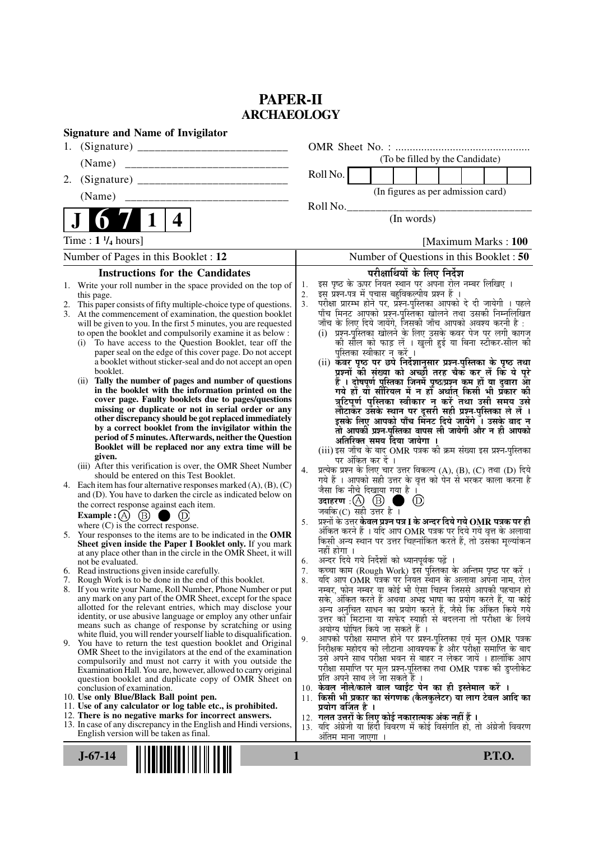# **PAPER-II ARCHAEOLOGY**

| <b>Signature and Name of Invigilator</b>                                                                                                                                                                                                                                                                                                                                                                                                                                                                                                                                                                                                                                                                                                                                                                                                                                                                                                                                                                                                                                                                                                                                                                                                                                                                                                                                                                                                                                                                                                                                                                                                                                                                                                                                                                                                                                                                                                                                                                                                                                                                                                                                                                                                                                                                                                                                                        |                                                                                                                                                                                                                                                                                                                                                                                                                                                                                                                                                                                                                                                                                                                                                                                                                                                                                                                                                                                                                                                                                                                                                                                                                                                                                                                                                                                                                                                                                                                                                                                                                                                                                                                                                                                                                                                                                                                                                                                                                                                                                                                                                                                                                                                                                                                                                       |
|-------------------------------------------------------------------------------------------------------------------------------------------------------------------------------------------------------------------------------------------------------------------------------------------------------------------------------------------------------------------------------------------------------------------------------------------------------------------------------------------------------------------------------------------------------------------------------------------------------------------------------------------------------------------------------------------------------------------------------------------------------------------------------------------------------------------------------------------------------------------------------------------------------------------------------------------------------------------------------------------------------------------------------------------------------------------------------------------------------------------------------------------------------------------------------------------------------------------------------------------------------------------------------------------------------------------------------------------------------------------------------------------------------------------------------------------------------------------------------------------------------------------------------------------------------------------------------------------------------------------------------------------------------------------------------------------------------------------------------------------------------------------------------------------------------------------------------------------------------------------------------------------------------------------------------------------------------------------------------------------------------------------------------------------------------------------------------------------------------------------------------------------------------------------------------------------------------------------------------------------------------------------------------------------------------------------------------------------------------------------------------------------------|-------------------------------------------------------------------------------------------------------------------------------------------------------------------------------------------------------------------------------------------------------------------------------------------------------------------------------------------------------------------------------------------------------------------------------------------------------------------------------------------------------------------------------------------------------------------------------------------------------------------------------------------------------------------------------------------------------------------------------------------------------------------------------------------------------------------------------------------------------------------------------------------------------------------------------------------------------------------------------------------------------------------------------------------------------------------------------------------------------------------------------------------------------------------------------------------------------------------------------------------------------------------------------------------------------------------------------------------------------------------------------------------------------------------------------------------------------------------------------------------------------------------------------------------------------------------------------------------------------------------------------------------------------------------------------------------------------------------------------------------------------------------------------------------------------------------------------------------------------------------------------------------------------------------------------------------------------------------------------------------------------------------------------------------------------------------------------------------------------------------------------------------------------------------------------------------------------------------------------------------------------------------------------------------------------------------------------------------------------|
| 1.                                                                                                                                                                                                                                                                                                                                                                                                                                                                                                                                                                                                                                                                                                                                                                                                                                                                                                                                                                                                                                                                                                                                                                                                                                                                                                                                                                                                                                                                                                                                                                                                                                                                                                                                                                                                                                                                                                                                                                                                                                                                                                                                                                                                                                                                                                                                                                                              |                                                                                                                                                                                                                                                                                                                                                                                                                                                                                                                                                                                                                                                                                                                                                                                                                                                                                                                                                                                                                                                                                                                                                                                                                                                                                                                                                                                                                                                                                                                                                                                                                                                                                                                                                                                                                                                                                                                                                                                                                                                                                                                                                                                                                                                                                                                                                       |
| (Name)                                                                                                                                                                                                                                                                                                                                                                                                                                                                                                                                                                                                                                                                                                                                                                                                                                                                                                                                                                                                                                                                                                                                                                                                                                                                                                                                                                                                                                                                                                                                                                                                                                                                                                                                                                                                                                                                                                                                                                                                                                                                                                                                                                                                                                                                                                                                                                                          | (To be filled by the Candidate)                                                                                                                                                                                                                                                                                                                                                                                                                                                                                                                                                                                                                                                                                                                                                                                                                                                                                                                                                                                                                                                                                                                                                                                                                                                                                                                                                                                                                                                                                                                                                                                                                                                                                                                                                                                                                                                                                                                                                                                                                                                                                                                                                                                                                                                                                                                       |
| 2.                                                                                                                                                                                                                                                                                                                                                                                                                                                                                                                                                                                                                                                                                                                                                                                                                                                                                                                                                                                                                                                                                                                                                                                                                                                                                                                                                                                                                                                                                                                                                                                                                                                                                                                                                                                                                                                                                                                                                                                                                                                                                                                                                                                                                                                                                                                                                                                              | Roll No.                                                                                                                                                                                                                                                                                                                                                                                                                                                                                                                                                                                                                                                                                                                                                                                                                                                                                                                                                                                                                                                                                                                                                                                                                                                                                                                                                                                                                                                                                                                                                                                                                                                                                                                                                                                                                                                                                                                                                                                                                                                                                                                                                                                                                                                                                                                                              |
| (Name)                                                                                                                                                                                                                                                                                                                                                                                                                                                                                                                                                                                                                                                                                                                                                                                                                                                                                                                                                                                                                                                                                                                                                                                                                                                                                                                                                                                                                                                                                                                                                                                                                                                                                                                                                                                                                                                                                                                                                                                                                                                                                                                                                                                                                                                                                                                                                                                          | (In figures as per admission card)                                                                                                                                                                                                                                                                                                                                                                                                                                                                                                                                                                                                                                                                                                                                                                                                                                                                                                                                                                                                                                                                                                                                                                                                                                                                                                                                                                                                                                                                                                                                                                                                                                                                                                                                                                                                                                                                                                                                                                                                                                                                                                                                                                                                                                                                                                                    |
|                                                                                                                                                                                                                                                                                                                                                                                                                                                                                                                                                                                                                                                                                                                                                                                                                                                                                                                                                                                                                                                                                                                                                                                                                                                                                                                                                                                                                                                                                                                                                                                                                                                                                                                                                                                                                                                                                                                                                                                                                                                                                                                                                                                                                                                                                                                                                                                                 | Roll No.                                                                                                                                                                                                                                                                                                                                                                                                                                                                                                                                                                                                                                                                                                                                                                                                                                                                                                                                                                                                                                                                                                                                                                                                                                                                                                                                                                                                                                                                                                                                                                                                                                                                                                                                                                                                                                                                                                                                                                                                                                                                                                                                                                                                                                                                                                                                              |
| 4                                                                                                                                                                                                                                                                                                                                                                                                                                                                                                                                                                                                                                                                                                                                                                                                                                                                                                                                                                                                                                                                                                                                                                                                                                                                                                                                                                                                                                                                                                                                                                                                                                                                                                                                                                                                                                                                                                                                                                                                                                                                                                                                                                                                                                                                                                                                                                                               | (In words)                                                                                                                                                                                                                                                                                                                                                                                                                                                                                                                                                                                                                                                                                                                                                                                                                                                                                                                                                                                                                                                                                                                                                                                                                                                                                                                                                                                                                                                                                                                                                                                                                                                                                                                                                                                                                                                                                                                                                                                                                                                                                                                                                                                                                                                                                                                                            |
| Time : $1 \frac{1}{4}$ hours]                                                                                                                                                                                                                                                                                                                                                                                                                                                                                                                                                                                                                                                                                                                                                                                                                                                                                                                                                                                                                                                                                                                                                                                                                                                                                                                                                                                                                                                                                                                                                                                                                                                                                                                                                                                                                                                                                                                                                                                                                                                                                                                                                                                                                                                                                                                                                                   | [Maximum Marks: 100]                                                                                                                                                                                                                                                                                                                                                                                                                                                                                                                                                                                                                                                                                                                                                                                                                                                                                                                                                                                                                                                                                                                                                                                                                                                                                                                                                                                                                                                                                                                                                                                                                                                                                                                                                                                                                                                                                                                                                                                                                                                                                                                                                                                                                                                                                                                                  |
| Number of Pages in this Booklet : 12                                                                                                                                                                                                                                                                                                                                                                                                                                                                                                                                                                                                                                                                                                                                                                                                                                                                                                                                                                                                                                                                                                                                                                                                                                                                                                                                                                                                                                                                                                                                                                                                                                                                                                                                                                                                                                                                                                                                                                                                                                                                                                                                                                                                                                                                                                                                                            | Number of Questions in this Booklet : 50                                                                                                                                                                                                                                                                                                                                                                                                                                                                                                                                                                                                                                                                                                                                                                                                                                                                                                                                                                                                                                                                                                                                                                                                                                                                                                                                                                                                                                                                                                                                                                                                                                                                                                                                                                                                                                                                                                                                                                                                                                                                                                                                                                                                                                                                                                              |
| <b>Instructions for the Candidates</b>                                                                                                                                                                                                                                                                                                                                                                                                                                                                                                                                                                                                                                                                                                                                                                                                                                                                                                                                                                                                                                                                                                                                                                                                                                                                                                                                                                                                                                                                                                                                                                                                                                                                                                                                                                                                                                                                                                                                                                                                                                                                                                                                                                                                                                                                                                                                                          | परीक्षार्थियों के लिए निर्देश                                                                                                                                                                                                                                                                                                                                                                                                                                                                                                                                                                                                                                                                                                                                                                                                                                                                                                                                                                                                                                                                                                                                                                                                                                                                                                                                                                                                                                                                                                                                                                                                                                                                                                                                                                                                                                                                                                                                                                                                                                                                                                                                                                                                                                                                                                                         |
| 1. Write your roll number in the space provided on the top of<br>this page.<br>This paper consists of fifty multiple-choice type of questions.<br>At the commencement of examination, the question booklet<br>will be given to you. In the first 5 minutes, you are requested<br>to open the booklet and compulsorily examine it as below :<br>To have access to the Question Booklet, tear off the<br>(i)<br>paper seal on the edge of this cover page. Do not accept<br>a booklet without sticker-seal and do not accept an open<br>booklet.<br>Tally the number of pages and number of questions<br>(ii)<br>in the booklet with the information printed on the<br>cover page. Faulty booklets due to pages/questions<br>missing or duplicate or not in serial order or any<br>other discrepancy should be got replaced immediately<br>by a correct booklet from the invigilator within the<br>period of 5 minutes. Afterwards, neither the Question<br>Booklet will be replaced nor any extra time will be<br>given.<br>(iii) After this verification is over, the OMR Sheet Number<br>should be entered on this Test Booklet.<br>4. Each item has four alternative responses marked $(A)$ , $(B)$ , $(C)$<br>and (D). You have to darken the circle as indicated below on<br>the correct response against each item.<br>Example : $(A)$ $(B)$<br>$\bigoplus$<br>where $(C)$ is the correct response.<br>5. Your responses to the items are to be indicated in the OMR<br>Sheet given inside the Paper I Booklet only. If you mark<br>at any place other than in the circle in the OMR Sheet, it will<br>not be evaluated.<br>6. Read instructions given inside carefully.<br>7. Rough Work is to be done in the end of this booklet.<br>8. If you write your Name, Roll Number, Phone Number or put<br>any mark on any part of the OMR Sheet, except for the space<br>allotted for the relevant entries, which may disclose your<br>identity, or use abusive language or employ any other unfair<br>means such as change of response by scratching or using<br>white fluid, you will render yourself liable to disqualification.<br>9. You have to return the test question booklet and Original<br>OMR Sheet to the invigilators at the end of the examination<br>compulsorily and must not carry it with you outside the<br>Examination Hall. You are, however, allowed to carry original | इस पृष्ठ के ऊपर नियत स्थान पर अपना रोल नम्बर लिखिए ।<br>1.<br>इस प्रश्न-पत्र में पचास बहुविकल्पीय प्रश्न हैं ।<br>2.<br>परीक्षा प्रारम्भ होने पर, प्रॅश्न्-पुस्तिका आपको दे दी जायेगी । पहले<br>3.<br>पाँच मिनट आपको प्रश्न-पुस्तिका खोलने तथा उसकी निम्नलिखित<br>जाँच के लिए दिये जायेंगे, जिसकी जाँच आपको अवश्य करनी है :<br>(i) प्रश्न-पुस्तिका खोलने के लिए उसके कवर पेज पर लगी कागज<br>की सौल को फाड़ लें । खुली हुई या बिना स्टीकर-सील की<br>पुस्तिका स्वीकार न करें ।<br>(ii) कवर पृष्ठ पर छपे निर्देशानुसार प्रश्न-पुस्तिका के पृष्ठ तथा<br>प्रश्नों की संख्या को अच्छों तरह चैक कर लें कि ये पूरे<br>हैं । दोषपूर्ण पुस्तिका जिनमें पृष्ठ/प्रश्न कम हों या दुबारा आ<br>गये हो या सीरियल में न हो अर्थात् किसी भी प्रकार की<br>त्रुटिपूर्ण पुस्तिका स्वीकार न करें तथा उसी समय उसे<br>लौटाकेंर उसके स्थान पर दूसरी सही प्रश्न-पुस्तिका ले लें ।<br>इसके लिए आपको पाँच मिंनट दिये जायेंगे ँ। उसके बाद न<br>तो आपकी प्रश्न-पुस्तिका वापस ली जायेगी और न ही आपको<br>अतिरिक्त समय दिया जायेगा<br>(iii) इस जाँच के बाद OMR पत्रक की क्रम संख्या इस प्रश्न-पुस्तिका<br>पर अंकित कर दें ।<br>प्रत्येक प्रश्न के लिए चार उत्तर विकल्प (A), (B), (C) तथा (D) दिये<br>4.<br>गये हैं । आपको सही उत्तर के वृत्त को पेन से भरकर काला करना है<br>जैसा कि नीचे दिखाया गया है।<br>उदाहरण: $(A)$ $(B)$<br>$\circled{D}$<br>जबकि(C) सही उत्तर है ।<br>प्रश्नों के उत्तर <b>केवल प्रश्न पत्र I के अन्दर दिये गये OMR पत्रक पर ही</b><br>5.<br>अंकित करने हैं । यदि आप OMR पत्रक पर दिये गये वृत्त के अलावा<br>किसी अन्य स्थान पर उत्तर चिह्नांकित करते हैं, तो उसका मूल्यांकन<br>नहीं होगा ।<br>अन्दर दिये गये निर्देशों को ध्यानपूर्वक पढ़ें<br>6.<br>कच्चा काम (Rough Work) इस पुस्तिका के अन्तिम पृष्ठ पर करें ।<br>7.<br>यदि आप OMR पत्रक पर नियत स्थान के अलावा अपना नाम, रोल<br>8.<br>नम्बर, फोन नम्बर या कोई भी ऐसा चिह्न जिससे आपकी पहचान हो<br>सके, अंकित करते हैं अथवा अभद्र भाषा का प्रयोग करते हैं, या कोई<br>अन्य अनुचित साधन का प्रयोग करते हैं, जैसे कि अंकित किये गये<br>उत्तर को मिटाना या सफेद स्याही से बदलना तो परीक्षा के लिये<br>अयोग्य घोषित किये जा सकते हैं ।<br>आपको परीक्षा समाप्त होने पर प्रश्न-पुस्तिका एवं मूल OMR पत्रक<br>9.<br>निरीक्षक महोदय को लौटाना आवश्यक है और परीक्षा समाप्ति के बाद<br>उसे अपने साथ परीक्षा भवन से बाहर न लेकर जायें । हालांकि आप<br>परीक्षा समाप्ति पर मूल प्रश्न-पुस्तिका तथा OMR पत्रक की डुप्लीकेट |
| question booklet and duplicate copy of OMR Sheet on<br>conclusion of examination.<br>10. Use only Blue/Black Ball point pen.<br>11. Use of any calculator or log table etc., is prohibited.<br>12. There is no negative marks for incorrect answers.<br>13. In case of any discrepancy in the English and Hindi versions,<br>English version will be taken as final.                                                                                                                                                                                                                                                                                                                                                                                                                                                                                                                                                                                                                                                                                                                                                                                                                                                                                                                                                                                                                                                                                                                                                                                                                                                                                                                                                                                                                                                                                                                                                                                                                                                                                                                                                                                                                                                                                                                                                                                                                            | प्रति अपने साथ ले जा सकते है ।<br>10. केवल नीले/काले बाल प्वाईंट पेन का ही इस्तेमाल करें ।<br>11. किसी भी प्रकार का संगणक (कैलकुलेटर) या लाग टेबल आदि का<br>प्रयोग वर्जित है ।<br>12.  गलत उत्तरों के लिए कोई नकारात्मक अंक नहीं हैं ।<br>13. यदि अंग्रेजी या हिंदी विवरण में कोई विसंगति हो, तो अंग्रेजी विवरण<br>अंतिम माना जाएगा                                                                                                                                                                                                                                                                                                                                                                                                                                                                                                                                                                                                                                                                                                                                                                                                                                                                                                                                                                                                                                                                                                                                                                                                                                                                                                                                                                                                                                                                                                                                                                                                                                                                                                                                                                                                                                                                                                                                                                                                                   |
| $J-67-14$                                                                                                                                                                                                                                                                                                                                                                                                                                                                                                                                                                                                                                                                                                                                                                                                                                                                                                                                                                                                                                                                                                                                                                                                                                                                                                                                                                                                                                                                                                                                                                                                                                                                                                                                                                                                                                                                                                                                                                                                                                                                                                                                                                                                                                                                                                                                                                                       | <b>P.T.O.</b><br>1                                                                                                                                                                                                                                                                                                                                                                                                                                                                                                                                                                                                                                                                                                                                                                                                                                                                                                                                                                                                                                                                                                                                                                                                                                                                                                                                                                                                                                                                                                                                                                                                                                                                                                                                                                                                                                                                                                                                                                                                                                                                                                                                                                                                                                                                                                                                    |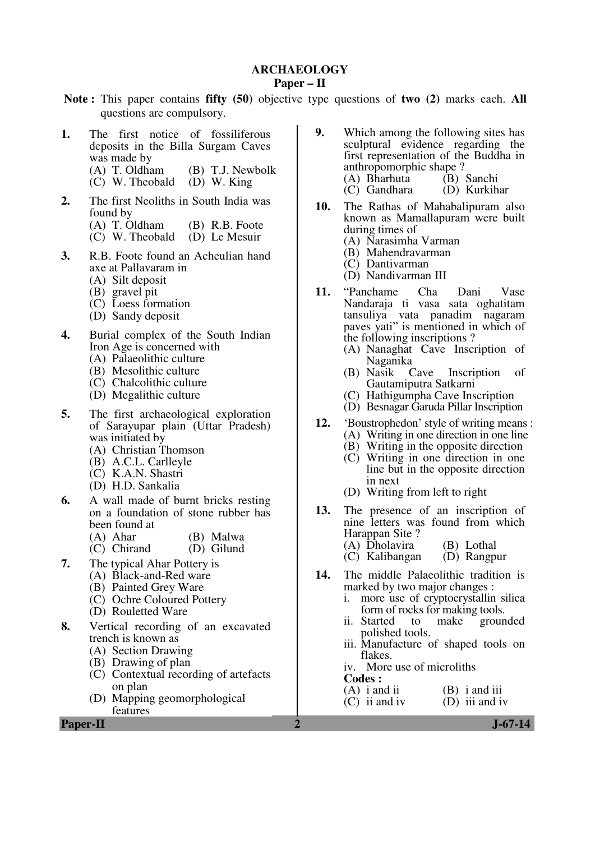### **ARCHAEOLOGY**

#### **Paper – II**

- **Note :** This paper contains **fifty (50)** objective type questions of **two (2)** marks each. **All** questions are compulsory.
- **1.** The first notice of fossiliferous deposits in the Billa Surgam Caves was made by<br> $(A)$  T. Oldham
	- (B) T.J. Newbolk<br>(D) W. King
	- $(C)$  W. Theobald
- **2.** The first Neoliths in South India was found by
	- (A) T. Oldham (B) R.B. Foote<br>(C) W. Theobald (D) Le Mesuir
	- $(C)$  W. Theobald
- **3.** R.B. Foote found an Acheulian hand axe at Pallavaram in
	- (A) Silt deposit
	- (B) gravel pit
	- (C) Loess formation
	- (D) Sandy deposit
- **4.** Burial complex of the South Indian Iron Age is concerned with
	- (A) Palaeolithic culture
	- (B) Mesolithic culture
	- (C) Chalcolithic culture
	- (D) Megalithic culture
- **5.** The first archaeological exploration of Sarayupar plain (Uttar Pradesh) was initiated by
	- (A) Christian Thomson
	- (B) A.C.L. Carlleyle
	- (C) K.A.N. Shastri
	- (D) H.D. Sankalia
- **6.** A wall made of burnt bricks resting on a foundation of stone rubber has been found at (A) Ahar
	- (B) Malwa
	- (C) Chirand (D) Gilund
- **7.** The typical Ahar Pottery is
	- (A) Black-and-Red ware
	- (B) Painted Grey Ware
	- (C) Ochre Coloured Pottery
	- (D) Rouletted Ware
- **8.** Vertical recording of an excavated trench is known as
	- (A) Section Drawing
	- (B) Drawing of plan
	- (C) Contextual recording of artefacts on plan
	- (D) Mapping geomorphological features

**Paper-II** J-67-14

- **9.** Which among the following sites has sculptural evidence regarding the first representation of the Buddha in anthropomorphic shape ?<br>
(A) Bharhuta (B) Sanchi
	- (A) Bharhuta (B) Sanchi<br>(C) Gandhara (D) Kurkihar  $(C)$  Gandhara
- **10.** The Rathas of Mahabalipuram also known as Mamallapuram were built during times of
	- (A) Narasimha Varman
	- (B) Mahendravarman
	- (C) Dantivarman
	- (D) Nandivarman III
- **11.** "Panchame Cha Dani Vase Nandaraja ti vasa sata oghatitam tansuliya vata panadim nagaram paves yati" is mentioned in which of the following inscriptions ?
	- (A) Nanaghat Cave Inscription of Naganika
	- (B) Nasik Cave Inscription of Gautamiputra Satkarni
	- (C) Hathigumpha Cave Inscription
	- (D) Besnagar Garuda Pillar Inscription
- **12.** 'Boustrophedon' style of writing means :
	- (A) Writing in one direction in one line
	- (B) Writing in the opposite direction
	- (C) Writing in one direction in one line but in the opposite direction in next
	- (D) Writing from left to right
- **13.** The presence of an inscription of nine letters was found from which Harappan Site ?
	- (A) Dholavira (B) Lothal<br>(C) Kalibangan (D) Rangpur
	- $(C)$  Kalibangan
- **14.** The middle Palaeolithic tradition is marked by two major changes :<br>i. more use of cryptocrystallin
	- more use of cryptocrystallin silica form of rocks for making tools.<br>ii. Started to make groun
	- to make grounded polished tools.
	- iii. Manufacture of shaped tools on flakes.
	- iv. More use of microliths
	- **Codes :**
	- (A) i and ii (B) i and iii (C) ii and iv (D) iii and i  $(D)$  iii and iv
		-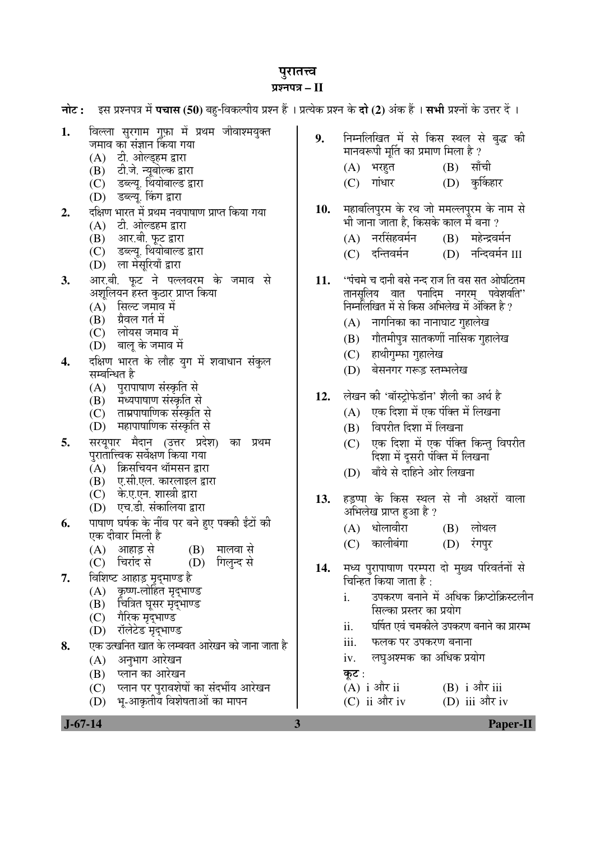# पुरातत्त्व

## <u>प्रश्नपत्र – II</u>

|          | नोट :     इस प्रश्नपत्र में पचास (50) बहु-विकल्पीय प्रश्न हैं । प्रत्येक प्रश्न के दो (2) अंक हैं । सभी प्रश्नों के उत्तर दें ।                                                                                                                                                                   |            |                                                                                                                                                                                                                                                                                 |
|----------|---------------------------------------------------------------------------------------------------------------------------------------------------------------------------------------------------------------------------------------------------------------------------------------------------|------------|---------------------------------------------------------------------------------------------------------------------------------------------------------------------------------------------------------------------------------------------------------------------------------|
| 1.       | विल्ला सुरगाम गुफ़ा में प्रथम जीवाश्मयुक्त<br>जमाव का संज्ञान किया गया<br>(A) टी. ओल्ड्हम द्वारा<br>(B) टी.जे. न्यूबोल्क द्वारा<br>(C) डब्ल्यू. थियोबाल्ड द्वारा<br>(D) डब्ल्यू. किंग द्वारा                                                                                                      | 9.         | निम्नलिखित में से किस स्थल से बुद्ध की<br>मानवरूपी मूर्ति का प्रमाण मिला है ?<br>(B)<br>सॉची<br>(A) भरहुत<br>(D) कुर्किहार<br>गांधार<br>(C)                                                                                                                                     |
| 2.       | दक्षिण भारत में प्रथम नवपाषाण प्राप्त किया गया<br>(A) टी. ओल्डहम द्वारा<br>(B) आर.बी. फूट द्वारा<br>(C) डब्ल्यू. थियोबाल्ड द्वारा<br>(D) ला मेसूरियाँ द्वारा                                                                                                                                      | 10.        | महाबलिपुरम के रथ जो ममल्लपुरम के नाम से<br>भी जाना जाता है, किसके काल में बना ?<br>(A) नरसिंहवर्मन<br>(B) महेन्द्रवर्मन<br>(D) नन्दिवर्मन III<br>(C) दन्तिवर्मन                                                                                                                 |
| 3.<br>4. | आर.बी. फूट ने पल्लवरम के जमाव से<br>अशूलियन हस्त कुठार प्राप्त किया<br>(A) सिल्ट जमाव में<br>(B) ग्रैवल गर्त में<br>(C) लोयस जमाव में<br>(D) बालू के जमाव में<br>दक्षिण भारत के लौह युग में शवाधान संकुल<br>सम्बन्धित है                                                                          | 11.        | ''पंचमे च दानी बसे नन्द राज ति वस सत ओघटितम<br>तानसूलिय वात पनादिम नगरम् पवेशयति''<br>निर्मालेखित में से किस अभिलेख में अंकित है ?<br>(A) नागनिका का नानाघाट गुहालेख<br>गौतमीपुत्र सातकर्णी नासिक गुहालेख<br>(B)<br>(C) हाथीगुम्फा गुहालेख<br>बेसनगर गरूड़ स्तम्भलेख<br>(D)     |
| 5.       | (A) पुरापाषाण संस्कृति से<br>(B) मध्यपाषाण संस्कृति से<br>(C) ताम्रपाषाणिक संस्कृति से<br>(D) महापाषाणिक संस्कृति से<br>सरयूपार मैदान (उत्तर प्रदेश) का<br>प्रथम<br>पुरातात्त्विक सर्वेक्षण किया गया<br>(A) क्रिसचियन थॉमसन द्वारा<br>(B) ए.सी.एल. कारलाइल द्वारा<br>(C) के.ए.एन. शास्त्री द्वारा | 12.<br>13. | लेखन की 'बॉस्ट्रोफेडॉन' शैली का अर्थ है<br>एक दिशा में एक पंक्ति में लिखना<br>(A)<br>विपरीत दिशा में लिखना<br>(B)<br>एक दिशा में एक पंक्ति किन्तु विपरीत<br>(C)<br>दिशा में दूसरी पंक्ति में लिखना<br>बाँये से दाहिने ओर लिखना<br>(D)<br>हड़प्पा के किस स्थल से नौ अक्षरों वाला |
| 6.       | (D) एच.डी. संकालिया द्वारा<br>पाषाण घर्षक के नींव पर बने हुए पक्की ईंटों की<br>एक दीवार मिली है<br>(B) मालवा से<br>आहाड़ से<br>(A)<br>चिरांद से<br>गिलुन्द से<br>(C)<br>(D)                                                                                                                       |            | अभिलेख प्राप्त हुआ है ?<br>(A) धोलावीरा<br>$(B)$ लोथल<br>(C) कालीबंगा<br>(D) रंगपुर                                                                                                                                                                                             |
| 7.       | विशिष्ट आहाड़ मृद्माण्ड है<br>कृष्ण-लोहित मृद्भाण्ड<br>(A)<br>चित्रित घूसर मृद्भाण्ड<br>(B)<br>(C) गैरिक मृद्भाण्ड<br>(D) रॉलेटेड मृद्भाण्ड                                                                                                                                                       | 14.        | मध्य पुरापाषाण परम्परा दो मुख्य परिवर्तनों से<br>चिन्हित किया जाता है :<br>उपकरण बनाने में अधिक क्रिप्टोक्रिस्टलीन<br>i.<br>सिल्का प्रस्तर का प्रयोग<br>घर्षित एवं चमकीले उपकरण बनाने का प्रारम्भ<br>ii.                                                                        |
| 8.       | एक उत्खनित खात के लम्बवत आरेखन को जाना जाता है<br>अनुभाग आरेखन<br>(A)<br>प्लान का आरेखन<br>(B)<br>(C) प्लान पर पुरावशेषों का संदर्भीय आरेखन<br>(D) भू-आकृतीय विशेषताओं का मापन                                                                                                                    |            | iii.<br>फलक पर उपकरण बनाना<br>लघुअश्मक का अधिक प्रयोग<br>iv.<br>कूट :<br>$(A)$ i और ii<br>$(B)$ i और iii<br>(C) ii और iv<br>(D) iii और iv                                                                                                                                       |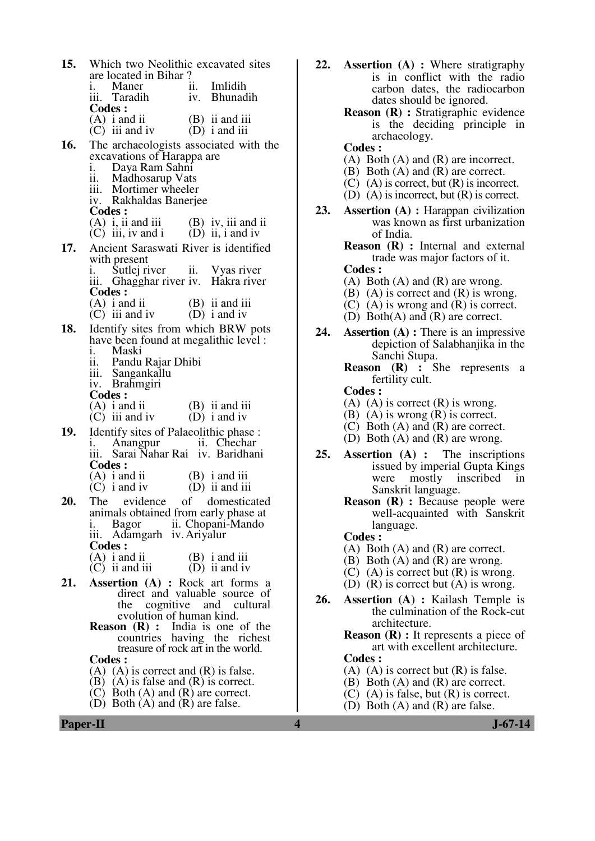| 15.        | Which two Neolithic excavated sites                                                                                                        |     |                                     |
|------------|--------------------------------------------------------------------------------------------------------------------------------------------|-----|-------------------------------------|
|            | are located in Bihar?<br>i. Maner                                                                                                          | ii. | Imlidih                             |
|            | iii. Taradih                                                                                                                               |     | iv. Bhunadih                        |
|            | <b>Codes:</b><br>(A) $i$ and ii<br>(C) iii and iv                                                                                          |     | $(B)$ ii and iii<br>$(D)$ i and iii |
| 16.        | The archaeologists associated with the                                                                                                     |     |                                     |
|            | excavations of Harappa are<br>i. Daya Ram Sahni<br>ii. Madhosarup Vats<br>iii. Mortimer wheeler<br>iv. Rakhaldas Banerjee<br><b>Codes:</b> |     |                                     |
|            | (A) i, ii and iii (B) iv, iii and ii<br>(C) iii, iv and i (D) ii, i and iv                                                                 |     |                                     |
| 17.        | Ancient Saraswati River is identified                                                                                                      |     |                                     |
|            | with present<br>i. Sutlej river ii. Vyas river<br>iii. Ghagghar river iv. Hakra river<br><b>Codes:</b>                                     |     |                                     |
|            | (A) i and ii<br>(C) iii and iv (B) ii and iii<br>(D) i and iv                                                                              |     |                                     |
| 18.        | Identify sites from which BRW pots<br>have been found at megalithic level :<br>i. Maski                                                    |     |                                     |
|            | Pandu Rajar Dhibi<br>ii. Pandu Kajar<br>iii. Sangankallu                                                                                   |     |                                     |
|            | iv. Brahmgiri<br><b>Codes:</b>                                                                                                             |     |                                     |
|            | $(A)$ i and ii<br>$(C)$ iii and iv $(D)$ i and iv                                                                                          |     | $(B)$ ii and iii                    |
| <b>19.</b> | Identify sites of Palaeolithic phase :<br>i. Anangpur ii. Chechar<br>iii. Sarai Nahar Rai iv. Baridhani<br><b>Codes:</b>                   |     |                                     |
|            | $(A)$ i and ii                                                                                                                             |     | $(B)$ i and iii                     |
| 20.        | $(C)$ i and iv<br>The evidence                                                                                                             | of  | (D) ii and iii<br>domesticated      |
|            | animals obtained from early phase at<br>i. Bagor ii. Chopani-Mando<br>iii. Adamgarh iv. Ariyalur<br><b>Codes:</b>                          |     |                                     |
|            | $(A)$ i and ii<br>$(C)$ ii and iii                                                                                                         |     | $(B)$ i and iii<br>$(D)$ ii and iv  |
| 21.        | <b>Assertion</b> (A) : Rock art forms a                                                                                                    |     |                                     |
|            | direct and valuable source of<br>the cognitive and cultural<br>evolution of human kind.                                                    |     |                                     |
|            | <b>Reason (R)</b> : India is one of the countries having the richest treasure of rock art in the world.                                    |     |                                     |
|            |                                                                                                                                            |     |                                     |
|            | <b>Codes :</b><br>$(A)$ $(A)$ is correct and $(R)$ is false.                                                                               |     |                                     |
|            | $(B)$ $(A)$ is false and $(R)$ is correct.                                                                                                 |     |                                     |

- 
- (C) Both (A) and (R) are correct.
	- (D) Both (A) and (R) are false.
- **22. Assertion (A) :** Where stratigraphy is in conflict with the radio carbon dates, the radiocarbon dates should be ignored.
	- **Reason (R) :** Stratigraphic evidence is the deciding principle in archaeology.
	- **Codes :**
	- (A) Both (A) and (R) are incorrect.
	- (B) Both (A) and (R) are correct.
	- (C) (A) is correct, but (R) is incorrect.
	- (D) (A) is incorrect, but (R) is correct.
- **23. Assertion (A) :** Harappan civilization was known as first urbanization of India.
	- **Reason (R) :** Internal and external trade was major factors of it.  **Codes :**
	- (A) Both  $(A)$  and  $(R)$  are wrong.
	- $(B)$  (A) is correct and  $(R)$  is wrong.
	- (C) (A) is wrong and (R) is correct.
	- (D) Both(A) and (R) are correct.
- **24. Assertion (A) :** There is an impressive depiction of Salabhanjika in the Sanchi Stupa.

**Reason (R) :** She represents a fertility cult.

- **Codes :**
- (A) (A) is correct  $(R)$  is wrong.
- (B) (A) is wrong (R) is correct.
- (C) Both (A) and (R) are correct.
- (D) Both (A) and (R) are wrong.
- **25. Assertion (A) :** The inscriptions issued by imperial Gupta Kings were mostly inscribed in Sanskrit language.
	- **Reason (R) :** Because people were well-acquainted with Sanskrit language.
	- **Codes :**
	- (A) Both (A) and (R) are correct.
	- (B) Both (A) and (R) are wrong.
	- (C) (A) is correct but  $(R)$  is wrong.
	- (D)  $(R)$  is correct but  $(A)$  is wrong.
- **26. Assertion (A) :** Kailash Temple is the culmination of the Rock-cut architecture.
	- **Reason** (**R**) : It represents a piece of art with excellent architecture.  **Codes :**
	- (A) (A) is correct but  $(R)$  is false.
	- (B) Both (A) and (R) are correct.
	- (C) (A) is false, but (R) is correct.
	- (D) Both (A) and (R) are false.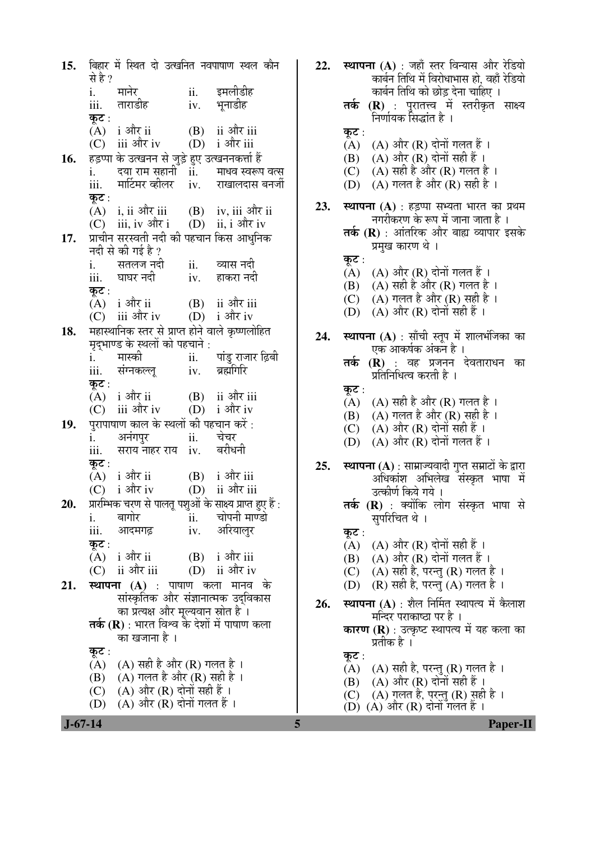बिहार में स्थित दो उत्खनित नवपाषाण स्थल कौन  $15.$ से है ? इमलीडीह मानेर ii. i. ताराडीह भनाडीह iii.  $iv.$ कट $:$  $(A)$  i और ii (B) ii और iii  $(C)$  iii और iv  $(D)$  i और iii हड़प्पा के उत्खनन से जुड़े हुए उत्खननकर्त्ता हैं 16. दया राम सहानी ii. माधव स्वरूप वत्स  $i$ . मार्टिमर व्हीलर राखालदास बनर्जी iii.  $iv.$ कट $:$  $(A)$  i, ii और iii  $(B)$  iv, iii और ii  $(C)$  iii, iv और i  $(D)$  ii, i और iv प्राचीन सरस्वती नदी की पहचान किस आधनिक  $17.$ नदी से की गई है ? सतलज नदी व्यास नदी i. ii. iii. घाघर नदी iv. हाकरा नदी कट $:$ (B) ii और iii  $(A)$  i और ii  $(C)$  iii और iv  $(D)$  i और iv महास्थानिक स्तर से प्राप्त होने वाले कृष्णलोहित 18. मदभाण्ड के स्थलों को पहचाने : मास्की पांड राजार ढ़िबी  $i$ .  $ii.$ ब्रह्मगिरि iii. संग्नकल्ल  $iv$ कट $:$  $(B)$  ii और iii  $(A)$  i और ii  $(C)$  iii और iv  $(D)$  i और iv पुरापाषाण काल के स्थलों की पहचान करें : 19. अनंगपर चेचर i. ii. बरीधनी सराय नाहर राय iv. iii. कट $:$ i और iii  $(A)$  i और ii  $(B)$  $(C)$  i और iv ii और iii  $(D)$ प्रारम्भिक चरण से पालत पशुओं के साक्ष्य प्राप्त हुए हैं : 20. चोपनी माण्डो i. बागोर ii. आदमगढ अरियालुर iii. iv. कुट $:$  $(A)$  i और ii  $(B)$  i और iii (D) ii और iv  $(C)$  ii और iii स्थापना (A) : पाषाण कला मानव के 21. सांस्कृतिक और संज्ञानात्मक उदविकास का प्रत्यक्ष और मुल्यवान स्रोत है।  $\overline{\mathsf{a}}$ र्क (R) : भारत विश्व के देशों में पाषाण कला का खजाना है । कुट: (A) (A) सही है और (R) गलत है ।  $(A)$  गलत है और  $(R)$  सही है । (B)  $(A)$  और  $(R)$  दोनों सही हैं ।  $(C)$ (D) (A) और (R) दोनों गलत हैं ।

22. स्थापना (A) : जहाँ स्तर विन्यास और रेडियो कार्बन तिथि में विरोधाभास हो, वहाँ रेडियो कार्बन तिथि को छोड़ देना चाहिए । **तर्क (R)** : परातत्त्व में स्तरीकृत साक्ष्य निर्णायक सिद्धांत है । कट $:$  $(A)$   $(A)$  और  $(R)$  दोनों गलत हैं। (B) (A) और (R) दोनों सही हैं । (C) (A) सही है और (R) गलत है । (D) (A) गलत है और (R) सही है। 23. स्थापना (A) : हड़प्पा सभ्यता भारत का प्रथम नगरीकरण के रूप में जाना जाता है । तर्क (R) : आंतरिक और बाह्य व्यापार इसके प्रमुख कारण थे। कट $:$  $(A)$   $(A)$  और  $(R)$  दोनों गलत हैं।  $(A)$  सही है और  $(R)$  गलत है। (B) (C) (A) गलत है और (R) सही है ।  $(D)$   $(A)$  और  $(R)$  दोनों सही हैं। स्थापना (A) : साँची स्तूप में शालभंजिका का 24. एक आकर्षक अंकन है । **तर्क (R)** : वह प्रजनन देवताराधन का प्रतिनिधित्व करती है । कट $:$ (A) (A) सही है और (R) गलत है। (B) (A) गलत है और (R) सही है । (A) और (R) दोनों सही हैं ।  $(C)$ (D)  $(A)$  और  $(R)$  दोनों गलत हैं। **स्थापना (A)** : साम्राज्यवादी गुप्त सम्राटों के द्वारा  $25.$ अधिकांश अभिलेख संस्कृत भाषा में उत्कीर्ण किये गये । **तर्क (R)** : क्योंकि लोग संस्कृत भाषा से सुपरिचित थे । कट :  $(A)$   $(A)$  और  $(R)$  दोनों सही हैं। (B) (A) और (R) दोनों गलत हैं। (A) सही है, परन्तु (R) गलत है।  $(C)$ (D)  $(R)$  सही है, परन्त  $(A)$  गलत है। स्थापना (A) : शैल निर्मित स्थापत्य में कैलाश 26. मन्दिर पराकाष्ठा पर है । **कारण (R)** : उत्कृष्ट स्थापत्य में यह कला का प्रतीक है । कट $:$  $(A)$   $(A)$  सही है, परन्तु  $(R)$  गलत है। (B) (A) और (R) दोनों सही हैं ।  $(A)$  गलत है, परन्तु (R) सही है।  $(C)$  $(D)$   $(A)$  और  $(R)$  दोनों गलत हैं।

5

 $J - 67 - 14$ 

**Paper-II**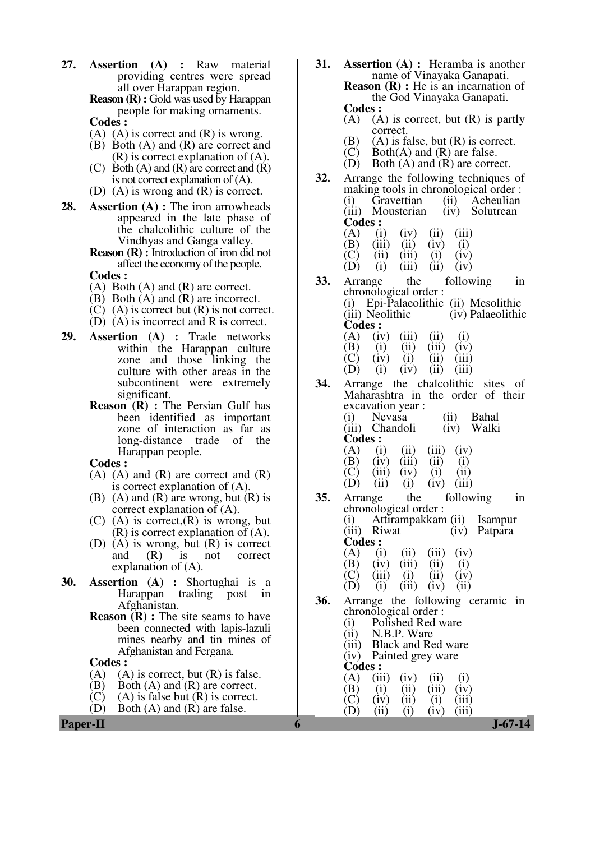**27. Assertion (A) :** Raw material providing centres were spread all over Harappan region.

**Reason (R) :** Gold was used by Harappan people for making ornaments.  **Codes :** 

- $(A)$   $(A)$  is correct and  $(R)$  is wrong.
- (B) Both (A) and (R) are correct and (R) is correct explanation of (A).
- (C) Both  $(A)$  and  $(R)$  are correct and  $(R)$ is not correct explanation of (A).
- (D) (A) is wrong and (R) is correct.
- **28. Assertion (A) :** The iron arrowheads appeared in the late phase of the chalcolithic culture of the Vindhyas and Ganga valley.
	- **Reason (R) :** Introduction of iron did not affect the economy of the people.
	- **Codes :**
	- (A) Both (A) and (R) are correct.
	- (B) Both (A) and (R) are incorrect.
	- (C) (A) is correct but (R) is not correct.
	- (D) (A) is incorrect and R is correct.
- **29. Assertion (A) :** Trade networks within the Harappan culture zone and those linking the culture with other areas in the subcontinent were extremely significant.
	- **Reason (R) :** The Persian Gulf has been identified as important zone of interaction as far as long-distance trade of the Harappan people.
	- **Codes :**
	- $(A)$   $(A)$  and  $(R)$  are correct and  $(R)$ is correct explanation of (A).
	- $(B)$  (A) and  $(R)$  are wrong, but  $(R)$  is correct explanation of  $(A)$ .
	- $(C)$  (A) is correct,  $(R)$  is wrong, but (R) is correct explanation of (A).
	- (D) (A) is wrong, but  $(R)$  is correct<br>and  $(R)$  is not correct and (R) is not correct explanation of (A).
- **30. Assertion (A) :** Shortughai is a Harappan trading post in Afghanistan.
	- **Reason**  $\overline{R}$  : The site seams to have been connected with lapis-lazuli mines nearby and tin mines of Afghanistan and Fergana.

### **Codes :**

- (A) (A) is correct, but  $(R)$  is false.<br>(B) Both  $(A)$  and  $(R)$  are correct.
- (B) Both (A) and (R) are correct.<br>(C) (A) is false but (R) is correct.
- (C) (A) is false but  $(R)$  is correct.<br>(D) Both  $(A)$  and  $(R)$  are false.
- Both  $(A)$  and  $(R)$  are false.
- **31. Assertion (A) :** Heramba is another name of Vinayaka Ganapati. **Reason (R) :** He is an incarnation of the God Vinayaka Ganapati.  **Codes :** 
	- $(A)$  (A) is correct, but  $(R)$  is partly correct.
	- (B) (A) is false, but  $(R)$  is correct.<br>(C) Both $(A)$  and  $(R)$  are false.
	- (C) Both(A) and (R) are false.<br>(D) Both (A) and (R) are corre
	- Both  $(A)$  and  $(R)$  are correct.
- **32.** Arrange the following techniques of making tools in chronological order :<br>(i) Gravettian (ii) Acheulian (i) Gravettian (ii) Acheulian<br>(iii) Mousterian (iv) Solutrean Mousterian **Codes :** (A) (i) (A) (i) (iv) (ii) (iii)
	-
	- (A) (i) (iv) (ii) (iii)<br>(B) (iii) (ii) (iv) (i)<br>(C) (ii) (iii) (i) (iv)

(C) (ii) (iii) (i) (iv)<br>(D) (i) (iii) (ii) (iv)  $(iii)$ 

- **33.** Arrange the following in chronological order : (i) Epi-Palaeolithic (ii) Mesolithic (iv) Palaeolithic **Codes :**
- (A) (iv) (iii) (ii) (i)<br>(B) (i) (iii) (iii) (iv)  $(B)$  (i) (ii) (iii) (iv)  $(C)$  (iv) (i) (ii) (iii) (D) (i) (iv) (ii) (iii)

**34.** Arrange the chalcolithic sites of Maharashtra in the order of their excavation year : (i) Nevasa (ii) Bahal (iii) Chandoli (iv) Walki

- **Codes :**   $(A)$  (i) (ii) (iii) (iv) (B) (iv) (iii) (ii) (i)<br>(C) (iii) (iv) (i) (ii) (C) (iii) (iv) (i) (ii) (D) (iii) (i) (i) (iv) (iii)
- $(ii)$   $(i)$   $(iv)$   $(iii)$ **35.** Arrange the following in chronological order : (i) Attirampakkam (ii) Isampur (iv) Patpara **Codes : (A)** (i) (A) (i) (ii) (iii) (iv)<br>(B) (iv) (iii) (ii) (i) (B) (iv) (iii) (C) (iii) (C) (iii) (i) (ii) (iv) (D) (i) (iii) (iv) (ii)  $(iii)$
- **36.** Arrange the following ceramic in chronological order : (i) Polished Red ware<br>(ii) N.B.P. Ware
	- (ii)  $N.B.P. Ware$ <br>(iii) Black and Re
	- Black and Red ware (iv) Painted grey ware
	- **Codes :**

 $(A)$  (iii) (iv) (ii) (i) (B) (i) (ii) (iii) (iv)  $(C)$  (iv) (ii) (i) (iii)

(D) (ii) (i) (iv) (iii)

**Paper-II 6 J-67-14**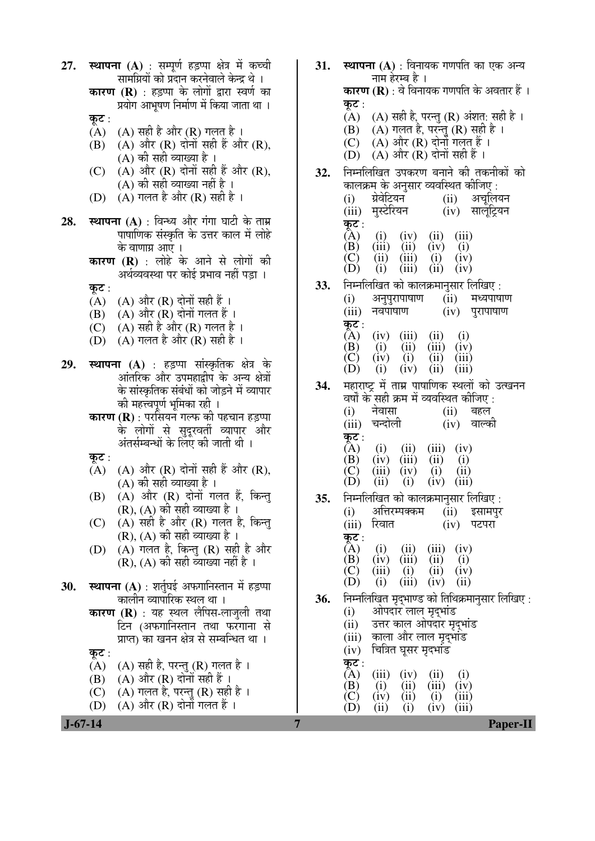| <b>कारण (R)</b> : वे विनायक गणपति के अवतार हैं ।<br><b>कारण (R)</b> : हड़प्पा के लोगों द्वारा स्वर्ण का<br>प्रयोग आभूषण निर्माण में किया जाता था ।<br>कूट :<br>(A) (A) सही है, परन्तु (R) अंशत: सही है।<br>कूट :<br>(A) गलत है, परन्तु (R) सह़ी है।<br>(B)<br>$(A)$ $(A)$ सही है और $(R)$ गलत है ।<br>(A) और (R) दोनों गलत है।<br>(C)<br>(A) और (R) दोनों सही हैं और (R),<br>(B)<br>$(A)$ और $(R)$ दोनों सही हैं ।<br>(D)<br>(A) की सही व्याख्या है ।<br>(A) और (R) दोनों सही हैं और (R),<br>(C)<br>निम्नलिखित उपकरण बनाने की तकनीकों को<br>32.<br>(A) की सही व्याख्या नहीं है ।<br>कालक्रम् के अनुसार व्यवस्थित कीजिए :<br>$(A)$ गलत है और $(R)$ सही है ।<br>(D)<br>ग्रेवेटियन<br>अचूलियन<br>(i)<br>(ii)<br>(iii) मुस्टेरियन<br>(iv) सालूट्रियन<br><b>स्थापना (A)</b> : विन्ध्य और गंगा घाटी के ताम्र<br>28.<br>कूट :<br>पाषाणिक संस्कृति के उत्तर काल में लोहे<br>(A)<br>(iii)<br>(i)<br>(iv)<br>(ii)<br>(iii)<br>(ii)<br>(iv)<br>(B)<br>(i)<br>के वाणाग्र आए ।<br>(iii)<br>(C)<br>(ii)<br>(i)<br>(iv)<br>कारण (R) : लोहे के आने से लोगों की<br>(ii)<br>(iii)<br>(D)<br>(i)<br>(iv)<br>अर्थव्यवस्था पर कोई प्रभाव नहीं पड़ा ।<br>निम्नलिखित को कालक्रमानुसार लिखिए:<br>33.<br>कूट :<br>अनुपुरापाषाण<br>(ii)<br>मध्यपाषाण<br>(i)<br>$(A)$ $(A)$ और $(R)$ दोनों सही हैं ।<br>नवपाषाण<br>(iii)<br>(iv) पुरापाषाण<br>(A) और (R) दोनों गलत हैं ।<br>(B)<br>कुट :<br>$(A)$ सही है और $(R)$ गलत है।<br>(C)<br>(iv)<br>(iii)<br>(A)<br>$\begin{pmatrix} 11 \\ 111 \end{pmatrix}$<br>(i)<br>$(A)$ गलत है और $(R)$ सही है ।<br>(D)<br>(ii)<br>(iv)<br>(B)<br>(i)<br>(i)<br>(C)<br>(iv)<br>(ii)<br>(iii)<br><b>स्थापना (A)</b> : हड़प्पा सांस्कृतिक क्षेत्र के<br>29.<br>(iii)<br>(ii)<br>(iv)<br>(D)<br>(i)<br>आंतरिक और उपमहाद्वीप के अन्य क्षेत्रों<br>महाराष्ट्र में ताम्र पाषाणिक स्थलों को उत्खनन<br>34.<br>के सांस्कृतिक संबंधों को जोड़ने में व्यापार<br>वर्षों के सही क्रम में व्यवस्थित कीजिए:<br>की महत्त्वपूर्ण भूमिका रही ।<br>नेवासा<br>(i)<br>(ii)<br>बहल<br><b>कारण (R)</b> : परसियन गल्फ की पहचान हड़प्पा<br>(iii) चन्दोली<br>$(iv)$ वाल्की<br>के लोगों से सुदूरवर्ती व्यापार और<br>कुट :<br>अंतर्सम्बन्धों के लिए की जाती थी ।<br>(A)<br>$\begin{array}{c} (ii) \\ (iii) \end{array}$<br>(iii)<br>(iv)<br>(i)<br>कूट :<br>(ii)<br>(B)<br>(iv)<br>(i)<br>(A) और (R) दोनों सही हैं और (R),<br>(A)<br>(iv)<br>(iii)<br>(i)<br>(C)<br>(ii)<br>(A) की सही व्याख्या है।<br>(D)<br>(ii)<br>(i)<br>(iv)<br>(iii)<br>(A) और (R) दोनों गलत हैं, किन्तु<br>(B)<br>निम्नलिखित को कालक्रमानुसार लिखिए:<br>35.<br>$(R)$ , $(A)$ को सही व्याख्या है ।<br>अत्तिरम्पक्कम<br>(i)<br>(ii)<br>इसामपुर<br>(A) सही है और (R) गलत है, किन्तु<br>(C)<br>रिवात<br>(iii)<br>पटपरा<br>(iv)<br>$(R)$ , $(A)$ की सही व्याख्या है।<br>कूट :<br>$(A)$ गलत है, किन्तु $(R)$ सही है और<br>(A)<br>(i)<br>$\begin{pmatrix} 11 \\ 111 \end{pmatrix}$<br>(D)<br>(iii)<br>(iv)<br>(ii)<br>(B)<br>(iv)<br>(i)<br>(R), (A) की सही व्याख्या नहीं है ।<br>(C)<br>(ii)<br>$\begin{pmatrix} 1 \\ 1 \end{pmatrix}$<br>(iii)<br>(iv)<br>(ii)<br>(D)<br>(iv)<br>(i)<br>स्थापना (A) : शर्तुघुई अफगानिस्तान में हड़प्पा<br>30.<br>निर्म्नालेखित मृद्भाण्ड को तिथिक्रमानुसार लिखिए:<br>कालीन व्यापारिक स्थल था ।<br><b>36.</b><br>ओपदार लाल् मृद्भांड<br><b>कारण (R)</b> : यह स्थल लैपिस-लाजुली तथा<br>(i)<br>उत्तर काल ओपदार मृद्भांड<br>(ii)<br>टिन (अफगानिस्तान तथा फरगाना से<br>काला और लाल मृद्भांड<br>(iii)<br>प्राप्त) का खनन क्षेत्र से सम्बन्धित था ।<br>चित्रित घूसर मृदभांड<br>(iv)<br>कूट :<br>कूट :<br>(A) सही है, परन्तु (R) गलत है)।<br>(A)<br>(A)<br>(iii)<br>(iv)<br>(i)<br>(ii)<br>$(A)$ और $(R)$ दोनों सही हैं ।<br>(B)<br>(iii)<br>(B)<br>(i)<br>(ii)<br>(iv)<br>(A) गलत है, पर्न्तु (R) सह़ी है ।<br>(C)<br>(C)<br>(ii)<br>(i)<br>(iv)<br>$\begin{array}{c} \textbf{(iii)} \\ \textbf{(iii)} \end{array}$<br>$(A)$ और $(R)$ दोनों गलत हैं।<br>(D)<br>(ii)<br>(i)<br>(D)<br>(iv)<br>$J-67-14$<br>$\overline{7}$<br><b>Paper-II</b> | 27. | स्थापना (A) : सम्पूर्ण हड़प्पा क्षेत्र में कच्ची<br>सामग्रियों को प्रदान करनेवाले केन्द्र थे । | 31. | <b>स्थापना (A)</b> : विनायक गणपति का एक अन्य<br>नाम हेरम्ब है । |
|---------------------------------------------------------------------------------------------------------------------------------------------------------------------------------------------------------------------------------------------------------------------------------------------------------------------------------------------------------------------------------------------------------------------------------------------------------------------------------------------------------------------------------------------------------------------------------------------------------------------------------------------------------------------------------------------------------------------------------------------------------------------------------------------------------------------------------------------------------------------------------------------------------------------------------------------------------------------------------------------------------------------------------------------------------------------------------------------------------------------------------------------------------------------------------------------------------------------------------------------------------------------------------------------------------------------------------------------------------------------------------------------------------------------------------------------------------------------------------------------------------------------------------------------------------------------------------------------------------------------------------------------------------------------------------------------------------------------------------------------------------------------------------------------------------------------------------------------------------------------------------------------------------------------------------------------------------------------------------------------------------------------------------------------------------------------------------------------------------------------------------------------------------------------------------------------------------------------------------------------------------------------------------------------------------------------------------------------------------------------------------------------------------------------------------------------------------------------------------------------------------------------------------------------------------------------------------------------------------------------------------------------------------------------------------------------------------------------------------------------------------------------------------------------------------------------------------------------------------------------------------------------------------------------------------------------------------------------------------------------------------------------------------------------------------------------------------------------------------------------------------------------------------------------------------------------------------------------------------------------------------------------------------------------------------------------------------------------------------------------------------------------------------------------------------------------------------------------------------------------------------------------------------------------------------------------------------------------------------------------------------------------------------------------------------------------------------------------------------------------------------------------------------------------------------------------------------------------------------------------------------------------------------------|-----|------------------------------------------------------------------------------------------------|-----|-----------------------------------------------------------------|
|                                                                                                                                                                                                                                                                                                                                                                                                                                                                                                                                                                                                                                                                                                                                                                                                                                                                                                                                                                                                                                                                                                                                                                                                                                                                                                                                                                                                                                                                                                                                                                                                                                                                                                                                                                                                                                                                                                                                                                                                                                                                                                                                                                                                                                                                                                                                                                                                                                                                                                                                                                                                                                                                                                                                                                                                                                                                                                                                                                                                                                                                                                                                                                                                                                                                                                                                                                                                                                                                                                                                                                                                                                                                                                                                                                                                                                                                                                               |     |                                                                                                |     |                                                                 |
|                                                                                                                                                                                                                                                                                                                                                                                                                                                                                                                                                                                                                                                                                                                                                                                                                                                                                                                                                                                                                                                                                                                                                                                                                                                                                                                                                                                                                                                                                                                                                                                                                                                                                                                                                                                                                                                                                                                                                                                                                                                                                                                                                                                                                                                                                                                                                                                                                                                                                                                                                                                                                                                                                                                                                                                                                                                                                                                                                                                                                                                                                                                                                                                                                                                                                                                                                                                                                                                                                                                                                                                                                                                                                                                                                                                                                                                                                                               |     |                                                                                                |     |                                                                 |
|                                                                                                                                                                                                                                                                                                                                                                                                                                                                                                                                                                                                                                                                                                                                                                                                                                                                                                                                                                                                                                                                                                                                                                                                                                                                                                                                                                                                                                                                                                                                                                                                                                                                                                                                                                                                                                                                                                                                                                                                                                                                                                                                                                                                                                                                                                                                                                                                                                                                                                                                                                                                                                                                                                                                                                                                                                                                                                                                                                                                                                                                                                                                                                                                                                                                                                                                                                                                                                                                                                                                                                                                                                                                                                                                                                                                                                                                                                               |     |                                                                                                |     |                                                                 |
|                                                                                                                                                                                                                                                                                                                                                                                                                                                                                                                                                                                                                                                                                                                                                                                                                                                                                                                                                                                                                                                                                                                                                                                                                                                                                                                                                                                                                                                                                                                                                                                                                                                                                                                                                                                                                                                                                                                                                                                                                                                                                                                                                                                                                                                                                                                                                                                                                                                                                                                                                                                                                                                                                                                                                                                                                                                                                                                                                                                                                                                                                                                                                                                                                                                                                                                                                                                                                                                                                                                                                                                                                                                                                                                                                                                                                                                                                                               |     |                                                                                                |     |                                                                 |
|                                                                                                                                                                                                                                                                                                                                                                                                                                                                                                                                                                                                                                                                                                                                                                                                                                                                                                                                                                                                                                                                                                                                                                                                                                                                                                                                                                                                                                                                                                                                                                                                                                                                                                                                                                                                                                                                                                                                                                                                                                                                                                                                                                                                                                                                                                                                                                                                                                                                                                                                                                                                                                                                                                                                                                                                                                                                                                                                                                                                                                                                                                                                                                                                                                                                                                                                                                                                                                                                                                                                                                                                                                                                                                                                                                                                                                                                                                               |     |                                                                                                |     |                                                                 |
|                                                                                                                                                                                                                                                                                                                                                                                                                                                                                                                                                                                                                                                                                                                                                                                                                                                                                                                                                                                                                                                                                                                                                                                                                                                                                                                                                                                                                                                                                                                                                                                                                                                                                                                                                                                                                                                                                                                                                                                                                                                                                                                                                                                                                                                                                                                                                                                                                                                                                                                                                                                                                                                                                                                                                                                                                                                                                                                                                                                                                                                                                                                                                                                                                                                                                                                                                                                                                                                                                                                                                                                                                                                                                                                                                                                                                                                                                                               |     |                                                                                                |     |                                                                 |
|                                                                                                                                                                                                                                                                                                                                                                                                                                                                                                                                                                                                                                                                                                                                                                                                                                                                                                                                                                                                                                                                                                                                                                                                                                                                                                                                                                                                                                                                                                                                                                                                                                                                                                                                                                                                                                                                                                                                                                                                                                                                                                                                                                                                                                                                                                                                                                                                                                                                                                                                                                                                                                                                                                                                                                                                                                                                                                                                                                                                                                                                                                                                                                                                                                                                                                                                                                                                                                                                                                                                                                                                                                                                                                                                                                                                                                                                                                               |     |                                                                                                |     |                                                                 |
|                                                                                                                                                                                                                                                                                                                                                                                                                                                                                                                                                                                                                                                                                                                                                                                                                                                                                                                                                                                                                                                                                                                                                                                                                                                                                                                                                                                                                                                                                                                                                                                                                                                                                                                                                                                                                                                                                                                                                                                                                                                                                                                                                                                                                                                                                                                                                                                                                                                                                                                                                                                                                                                                                                                                                                                                                                                                                                                                                                                                                                                                                                                                                                                                                                                                                                                                                                                                                                                                                                                                                                                                                                                                                                                                                                                                                                                                                                               |     |                                                                                                |     |                                                                 |
|                                                                                                                                                                                                                                                                                                                                                                                                                                                                                                                                                                                                                                                                                                                                                                                                                                                                                                                                                                                                                                                                                                                                                                                                                                                                                                                                                                                                                                                                                                                                                                                                                                                                                                                                                                                                                                                                                                                                                                                                                                                                                                                                                                                                                                                                                                                                                                                                                                                                                                                                                                                                                                                                                                                                                                                                                                                                                                                                                                                                                                                                                                                                                                                                                                                                                                                                                                                                                                                                                                                                                                                                                                                                                                                                                                                                                                                                                                               |     |                                                                                                |     |                                                                 |
|                                                                                                                                                                                                                                                                                                                                                                                                                                                                                                                                                                                                                                                                                                                                                                                                                                                                                                                                                                                                                                                                                                                                                                                                                                                                                                                                                                                                                                                                                                                                                                                                                                                                                                                                                                                                                                                                                                                                                                                                                                                                                                                                                                                                                                                                                                                                                                                                                                                                                                                                                                                                                                                                                                                                                                                                                                                                                                                                                                                                                                                                                                                                                                                                                                                                                                                                                                                                                                                                                                                                                                                                                                                                                                                                                                                                                                                                                                               |     |                                                                                                |     |                                                                 |
|                                                                                                                                                                                                                                                                                                                                                                                                                                                                                                                                                                                                                                                                                                                                                                                                                                                                                                                                                                                                                                                                                                                                                                                                                                                                                                                                                                                                                                                                                                                                                                                                                                                                                                                                                                                                                                                                                                                                                                                                                                                                                                                                                                                                                                                                                                                                                                                                                                                                                                                                                                                                                                                                                                                                                                                                                                                                                                                                                                                                                                                                                                                                                                                                                                                                                                                                                                                                                                                                                                                                                                                                                                                                                                                                                                                                                                                                                                               |     |                                                                                                |     |                                                                 |
|                                                                                                                                                                                                                                                                                                                                                                                                                                                                                                                                                                                                                                                                                                                                                                                                                                                                                                                                                                                                                                                                                                                                                                                                                                                                                                                                                                                                                                                                                                                                                                                                                                                                                                                                                                                                                                                                                                                                                                                                                                                                                                                                                                                                                                                                                                                                                                                                                                                                                                                                                                                                                                                                                                                                                                                                                                                                                                                                                                                                                                                                                                                                                                                                                                                                                                                                                                                                                                                                                                                                                                                                                                                                                                                                                                                                                                                                                                               |     |                                                                                                |     |                                                                 |
|                                                                                                                                                                                                                                                                                                                                                                                                                                                                                                                                                                                                                                                                                                                                                                                                                                                                                                                                                                                                                                                                                                                                                                                                                                                                                                                                                                                                                                                                                                                                                                                                                                                                                                                                                                                                                                                                                                                                                                                                                                                                                                                                                                                                                                                                                                                                                                                                                                                                                                                                                                                                                                                                                                                                                                                                                                                                                                                                                                                                                                                                                                                                                                                                                                                                                                                                                                                                                                                                                                                                                                                                                                                                                                                                                                                                                                                                                                               |     |                                                                                                |     |                                                                 |
|                                                                                                                                                                                                                                                                                                                                                                                                                                                                                                                                                                                                                                                                                                                                                                                                                                                                                                                                                                                                                                                                                                                                                                                                                                                                                                                                                                                                                                                                                                                                                                                                                                                                                                                                                                                                                                                                                                                                                                                                                                                                                                                                                                                                                                                                                                                                                                                                                                                                                                                                                                                                                                                                                                                                                                                                                                                                                                                                                                                                                                                                                                                                                                                                                                                                                                                                                                                                                                                                                                                                                                                                                                                                                                                                                                                                                                                                                                               |     |                                                                                                |     |                                                                 |
|                                                                                                                                                                                                                                                                                                                                                                                                                                                                                                                                                                                                                                                                                                                                                                                                                                                                                                                                                                                                                                                                                                                                                                                                                                                                                                                                                                                                                                                                                                                                                                                                                                                                                                                                                                                                                                                                                                                                                                                                                                                                                                                                                                                                                                                                                                                                                                                                                                                                                                                                                                                                                                                                                                                                                                                                                                                                                                                                                                                                                                                                                                                                                                                                                                                                                                                                                                                                                                                                                                                                                                                                                                                                                                                                                                                                                                                                                                               |     |                                                                                                |     |                                                                 |
|                                                                                                                                                                                                                                                                                                                                                                                                                                                                                                                                                                                                                                                                                                                                                                                                                                                                                                                                                                                                                                                                                                                                                                                                                                                                                                                                                                                                                                                                                                                                                                                                                                                                                                                                                                                                                                                                                                                                                                                                                                                                                                                                                                                                                                                                                                                                                                                                                                                                                                                                                                                                                                                                                                                                                                                                                                                                                                                                                                                                                                                                                                                                                                                                                                                                                                                                                                                                                                                                                                                                                                                                                                                                                                                                                                                                                                                                                                               |     |                                                                                                |     |                                                                 |
|                                                                                                                                                                                                                                                                                                                                                                                                                                                                                                                                                                                                                                                                                                                                                                                                                                                                                                                                                                                                                                                                                                                                                                                                                                                                                                                                                                                                                                                                                                                                                                                                                                                                                                                                                                                                                                                                                                                                                                                                                                                                                                                                                                                                                                                                                                                                                                                                                                                                                                                                                                                                                                                                                                                                                                                                                                                                                                                                                                                                                                                                                                                                                                                                                                                                                                                                                                                                                                                                                                                                                                                                                                                                                                                                                                                                                                                                                                               |     |                                                                                                |     |                                                                 |
|                                                                                                                                                                                                                                                                                                                                                                                                                                                                                                                                                                                                                                                                                                                                                                                                                                                                                                                                                                                                                                                                                                                                                                                                                                                                                                                                                                                                                                                                                                                                                                                                                                                                                                                                                                                                                                                                                                                                                                                                                                                                                                                                                                                                                                                                                                                                                                                                                                                                                                                                                                                                                                                                                                                                                                                                                                                                                                                                                                                                                                                                                                                                                                                                                                                                                                                                                                                                                                                                                                                                                                                                                                                                                                                                                                                                                                                                                                               |     |                                                                                                |     |                                                                 |
|                                                                                                                                                                                                                                                                                                                                                                                                                                                                                                                                                                                                                                                                                                                                                                                                                                                                                                                                                                                                                                                                                                                                                                                                                                                                                                                                                                                                                                                                                                                                                                                                                                                                                                                                                                                                                                                                                                                                                                                                                                                                                                                                                                                                                                                                                                                                                                                                                                                                                                                                                                                                                                                                                                                                                                                                                                                                                                                                                                                                                                                                                                                                                                                                                                                                                                                                                                                                                                                                                                                                                                                                                                                                                                                                                                                                                                                                                                               |     |                                                                                                |     |                                                                 |
|                                                                                                                                                                                                                                                                                                                                                                                                                                                                                                                                                                                                                                                                                                                                                                                                                                                                                                                                                                                                                                                                                                                                                                                                                                                                                                                                                                                                                                                                                                                                                                                                                                                                                                                                                                                                                                                                                                                                                                                                                                                                                                                                                                                                                                                                                                                                                                                                                                                                                                                                                                                                                                                                                                                                                                                                                                                                                                                                                                                                                                                                                                                                                                                                                                                                                                                                                                                                                                                                                                                                                                                                                                                                                                                                                                                                                                                                                                               |     |                                                                                                |     |                                                                 |
|                                                                                                                                                                                                                                                                                                                                                                                                                                                                                                                                                                                                                                                                                                                                                                                                                                                                                                                                                                                                                                                                                                                                                                                                                                                                                                                                                                                                                                                                                                                                                                                                                                                                                                                                                                                                                                                                                                                                                                                                                                                                                                                                                                                                                                                                                                                                                                                                                                                                                                                                                                                                                                                                                                                                                                                                                                                                                                                                                                                                                                                                                                                                                                                                                                                                                                                                                                                                                                                                                                                                                                                                                                                                                                                                                                                                                                                                                                               |     |                                                                                                |     |                                                                 |
|                                                                                                                                                                                                                                                                                                                                                                                                                                                                                                                                                                                                                                                                                                                                                                                                                                                                                                                                                                                                                                                                                                                                                                                                                                                                                                                                                                                                                                                                                                                                                                                                                                                                                                                                                                                                                                                                                                                                                                                                                                                                                                                                                                                                                                                                                                                                                                                                                                                                                                                                                                                                                                                                                                                                                                                                                                                                                                                                                                                                                                                                                                                                                                                                                                                                                                                                                                                                                                                                                                                                                                                                                                                                                                                                                                                                                                                                                                               |     |                                                                                                |     |                                                                 |
|                                                                                                                                                                                                                                                                                                                                                                                                                                                                                                                                                                                                                                                                                                                                                                                                                                                                                                                                                                                                                                                                                                                                                                                                                                                                                                                                                                                                                                                                                                                                                                                                                                                                                                                                                                                                                                                                                                                                                                                                                                                                                                                                                                                                                                                                                                                                                                                                                                                                                                                                                                                                                                                                                                                                                                                                                                                                                                                                                                                                                                                                                                                                                                                                                                                                                                                                                                                                                                                                                                                                                                                                                                                                                                                                                                                                                                                                                                               |     |                                                                                                |     |                                                                 |
|                                                                                                                                                                                                                                                                                                                                                                                                                                                                                                                                                                                                                                                                                                                                                                                                                                                                                                                                                                                                                                                                                                                                                                                                                                                                                                                                                                                                                                                                                                                                                                                                                                                                                                                                                                                                                                                                                                                                                                                                                                                                                                                                                                                                                                                                                                                                                                                                                                                                                                                                                                                                                                                                                                                                                                                                                                                                                                                                                                                                                                                                                                                                                                                                                                                                                                                                                                                                                                                                                                                                                                                                                                                                                                                                                                                                                                                                                                               |     |                                                                                                |     |                                                                 |
|                                                                                                                                                                                                                                                                                                                                                                                                                                                                                                                                                                                                                                                                                                                                                                                                                                                                                                                                                                                                                                                                                                                                                                                                                                                                                                                                                                                                                                                                                                                                                                                                                                                                                                                                                                                                                                                                                                                                                                                                                                                                                                                                                                                                                                                                                                                                                                                                                                                                                                                                                                                                                                                                                                                                                                                                                                                                                                                                                                                                                                                                                                                                                                                                                                                                                                                                                                                                                                                                                                                                                                                                                                                                                                                                                                                                                                                                                                               |     |                                                                                                |     |                                                                 |
|                                                                                                                                                                                                                                                                                                                                                                                                                                                                                                                                                                                                                                                                                                                                                                                                                                                                                                                                                                                                                                                                                                                                                                                                                                                                                                                                                                                                                                                                                                                                                                                                                                                                                                                                                                                                                                                                                                                                                                                                                                                                                                                                                                                                                                                                                                                                                                                                                                                                                                                                                                                                                                                                                                                                                                                                                                                                                                                                                                                                                                                                                                                                                                                                                                                                                                                                                                                                                                                                                                                                                                                                                                                                                                                                                                                                                                                                                                               |     |                                                                                                |     |                                                                 |
|                                                                                                                                                                                                                                                                                                                                                                                                                                                                                                                                                                                                                                                                                                                                                                                                                                                                                                                                                                                                                                                                                                                                                                                                                                                                                                                                                                                                                                                                                                                                                                                                                                                                                                                                                                                                                                                                                                                                                                                                                                                                                                                                                                                                                                                                                                                                                                                                                                                                                                                                                                                                                                                                                                                                                                                                                                                                                                                                                                                                                                                                                                                                                                                                                                                                                                                                                                                                                                                                                                                                                                                                                                                                                                                                                                                                                                                                                                               |     |                                                                                                |     |                                                                 |
|                                                                                                                                                                                                                                                                                                                                                                                                                                                                                                                                                                                                                                                                                                                                                                                                                                                                                                                                                                                                                                                                                                                                                                                                                                                                                                                                                                                                                                                                                                                                                                                                                                                                                                                                                                                                                                                                                                                                                                                                                                                                                                                                                                                                                                                                                                                                                                                                                                                                                                                                                                                                                                                                                                                                                                                                                                                                                                                                                                                                                                                                                                                                                                                                                                                                                                                                                                                                                                                                                                                                                                                                                                                                                                                                                                                                                                                                                                               |     |                                                                                                |     |                                                                 |
|                                                                                                                                                                                                                                                                                                                                                                                                                                                                                                                                                                                                                                                                                                                                                                                                                                                                                                                                                                                                                                                                                                                                                                                                                                                                                                                                                                                                                                                                                                                                                                                                                                                                                                                                                                                                                                                                                                                                                                                                                                                                                                                                                                                                                                                                                                                                                                                                                                                                                                                                                                                                                                                                                                                                                                                                                                                                                                                                                                                                                                                                                                                                                                                                                                                                                                                                                                                                                                                                                                                                                                                                                                                                                                                                                                                                                                                                                                               |     |                                                                                                |     |                                                                 |
|                                                                                                                                                                                                                                                                                                                                                                                                                                                                                                                                                                                                                                                                                                                                                                                                                                                                                                                                                                                                                                                                                                                                                                                                                                                                                                                                                                                                                                                                                                                                                                                                                                                                                                                                                                                                                                                                                                                                                                                                                                                                                                                                                                                                                                                                                                                                                                                                                                                                                                                                                                                                                                                                                                                                                                                                                                                                                                                                                                                                                                                                                                                                                                                                                                                                                                                                                                                                                                                                                                                                                                                                                                                                                                                                                                                                                                                                                                               |     |                                                                                                |     |                                                                 |
|                                                                                                                                                                                                                                                                                                                                                                                                                                                                                                                                                                                                                                                                                                                                                                                                                                                                                                                                                                                                                                                                                                                                                                                                                                                                                                                                                                                                                                                                                                                                                                                                                                                                                                                                                                                                                                                                                                                                                                                                                                                                                                                                                                                                                                                                                                                                                                                                                                                                                                                                                                                                                                                                                                                                                                                                                                                                                                                                                                                                                                                                                                                                                                                                                                                                                                                                                                                                                                                                                                                                                                                                                                                                                                                                                                                                                                                                                                               |     |                                                                                                |     |                                                                 |
|                                                                                                                                                                                                                                                                                                                                                                                                                                                                                                                                                                                                                                                                                                                                                                                                                                                                                                                                                                                                                                                                                                                                                                                                                                                                                                                                                                                                                                                                                                                                                                                                                                                                                                                                                                                                                                                                                                                                                                                                                                                                                                                                                                                                                                                                                                                                                                                                                                                                                                                                                                                                                                                                                                                                                                                                                                                                                                                                                                                                                                                                                                                                                                                                                                                                                                                                                                                                                                                                                                                                                                                                                                                                                                                                                                                                                                                                                                               |     |                                                                                                |     |                                                                 |
|                                                                                                                                                                                                                                                                                                                                                                                                                                                                                                                                                                                                                                                                                                                                                                                                                                                                                                                                                                                                                                                                                                                                                                                                                                                                                                                                                                                                                                                                                                                                                                                                                                                                                                                                                                                                                                                                                                                                                                                                                                                                                                                                                                                                                                                                                                                                                                                                                                                                                                                                                                                                                                                                                                                                                                                                                                                                                                                                                                                                                                                                                                                                                                                                                                                                                                                                                                                                                                                                                                                                                                                                                                                                                                                                                                                                                                                                                                               |     |                                                                                                |     |                                                                 |
|                                                                                                                                                                                                                                                                                                                                                                                                                                                                                                                                                                                                                                                                                                                                                                                                                                                                                                                                                                                                                                                                                                                                                                                                                                                                                                                                                                                                                                                                                                                                                                                                                                                                                                                                                                                                                                                                                                                                                                                                                                                                                                                                                                                                                                                                                                                                                                                                                                                                                                                                                                                                                                                                                                                                                                                                                                                                                                                                                                                                                                                                                                                                                                                                                                                                                                                                                                                                                                                                                                                                                                                                                                                                                                                                                                                                                                                                                                               |     |                                                                                                |     |                                                                 |
|                                                                                                                                                                                                                                                                                                                                                                                                                                                                                                                                                                                                                                                                                                                                                                                                                                                                                                                                                                                                                                                                                                                                                                                                                                                                                                                                                                                                                                                                                                                                                                                                                                                                                                                                                                                                                                                                                                                                                                                                                                                                                                                                                                                                                                                                                                                                                                                                                                                                                                                                                                                                                                                                                                                                                                                                                                                                                                                                                                                                                                                                                                                                                                                                                                                                                                                                                                                                                                                                                                                                                                                                                                                                                                                                                                                                                                                                                                               |     |                                                                                                |     |                                                                 |
|                                                                                                                                                                                                                                                                                                                                                                                                                                                                                                                                                                                                                                                                                                                                                                                                                                                                                                                                                                                                                                                                                                                                                                                                                                                                                                                                                                                                                                                                                                                                                                                                                                                                                                                                                                                                                                                                                                                                                                                                                                                                                                                                                                                                                                                                                                                                                                                                                                                                                                                                                                                                                                                                                                                                                                                                                                                                                                                                                                                                                                                                                                                                                                                                                                                                                                                                                                                                                                                                                                                                                                                                                                                                                                                                                                                                                                                                                                               |     |                                                                                                |     |                                                                 |
|                                                                                                                                                                                                                                                                                                                                                                                                                                                                                                                                                                                                                                                                                                                                                                                                                                                                                                                                                                                                                                                                                                                                                                                                                                                                                                                                                                                                                                                                                                                                                                                                                                                                                                                                                                                                                                                                                                                                                                                                                                                                                                                                                                                                                                                                                                                                                                                                                                                                                                                                                                                                                                                                                                                                                                                                                                                                                                                                                                                                                                                                                                                                                                                                                                                                                                                                                                                                                                                                                                                                                                                                                                                                                                                                                                                                                                                                                                               |     |                                                                                                |     |                                                                 |
|                                                                                                                                                                                                                                                                                                                                                                                                                                                                                                                                                                                                                                                                                                                                                                                                                                                                                                                                                                                                                                                                                                                                                                                                                                                                                                                                                                                                                                                                                                                                                                                                                                                                                                                                                                                                                                                                                                                                                                                                                                                                                                                                                                                                                                                                                                                                                                                                                                                                                                                                                                                                                                                                                                                                                                                                                                                                                                                                                                                                                                                                                                                                                                                                                                                                                                                                                                                                                                                                                                                                                                                                                                                                                                                                                                                                                                                                                                               |     |                                                                                                |     |                                                                 |
|                                                                                                                                                                                                                                                                                                                                                                                                                                                                                                                                                                                                                                                                                                                                                                                                                                                                                                                                                                                                                                                                                                                                                                                                                                                                                                                                                                                                                                                                                                                                                                                                                                                                                                                                                                                                                                                                                                                                                                                                                                                                                                                                                                                                                                                                                                                                                                                                                                                                                                                                                                                                                                                                                                                                                                                                                                                                                                                                                                                                                                                                                                                                                                                                                                                                                                                                                                                                                                                                                                                                                                                                                                                                                                                                                                                                                                                                                                               |     |                                                                                                |     |                                                                 |
|                                                                                                                                                                                                                                                                                                                                                                                                                                                                                                                                                                                                                                                                                                                                                                                                                                                                                                                                                                                                                                                                                                                                                                                                                                                                                                                                                                                                                                                                                                                                                                                                                                                                                                                                                                                                                                                                                                                                                                                                                                                                                                                                                                                                                                                                                                                                                                                                                                                                                                                                                                                                                                                                                                                                                                                                                                                                                                                                                                                                                                                                                                                                                                                                                                                                                                                                                                                                                                                                                                                                                                                                                                                                                                                                                                                                                                                                                                               |     |                                                                                                |     |                                                                 |
|                                                                                                                                                                                                                                                                                                                                                                                                                                                                                                                                                                                                                                                                                                                                                                                                                                                                                                                                                                                                                                                                                                                                                                                                                                                                                                                                                                                                                                                                                                                                                                                                                                                                                                                                                                                                                                                                                                                                                                                                                                                                                                                                                                                                                                                                                                                                                                                                                                                                                                                                                                                                                                                                                                                                                                                                                                                                                                                                                                                                                                                                                                                                                                                                                                                                                                                                                                                                                                                                                                                                                                                                                                                                                                                                                                                                                                                                                                               |     |                                                                                                |     |                                                                 |
|                                                                                                                                                                                                                                                                                                                                                                                                                                                                                                                                                                                                                                                                                                                                                                                                                                                                                                                                                                                                                                                                                                                                                                                                                                                                                                                                                                                                                                                                                                                                                                                                                                                                                                                                                                                                                                                                                                                                                                                                                                                                                                                                                                                                                                                                                                                                                                                                                                                                                                                                                                                                                                                                                                                                                                                                                                                                                                                                                                                                                                                                                                                                                                                                                                                                                                                                                                                                                                                                                                                                                                                                                                                                                                                                                                                                                                                                                                               |     |                                                                                                |     |                                                                 |
|                                                                                                                                                                                                                                                                                                                                                                                                                                                                                                                                                                                                                                                                                                                                                                                                                                                                                                                                                                                                                                                                                                                                                                                                                                                                                                                                                                                                                                                                                                                                                                                                                                                                                                                                                                                                                                                                                                                                                                                                                                                                                                                                                                                                                                                                                                                                                                                                                                                                                                                                                                                                                                                                                                                                                                                                                                                                                                                                                                                                                                                                                                                                                                                                                                                                                                                                                                                                                                                                                                                                                                                                                                                                                                                                                                                                                                                                                                               |     |                                                                                                |     |                                                                 |
|                                                                                                                                                                                                                                                                                                                                                                                                                                                                                                                                                                                                                                                                                                                                                                                                                                                                                                                                                                                                                                                                                                                                                                                                                                                                                                                                                                                                                                                                                                                                                                                                                                                                                                                                                                                                                                                                                                                                                                                                                                                                                                                                                                                                                                                                                                                                                                                                                                                                                                                                                                                                                                                                                                                                                                                                                                                                                                                                                                                                                                                                                                                                                                                                                                                                                                                                                                                                                                                                                                                                                                                                                                                                                                                                                                                                                                                                                                               |     |                                                                                                |     |                                                                 |
|                                                                                                                                                                                                                                                                                                                                                                                                                                                                                                                                                                                                                                                                                                                                                                                                                                                                                                                                                                                                                                                                                                                                                                                                                                                                                                                                                                                                                                                                                                                                                                                                                                                                                                                                                                                                                                                                                                                                                                                                                                                                                                                                                                                                                                                                                                                                                                                                                                                                                                                                                                                                                                                                                                                                                                                                                                                                                                                                                                                                                                                                                                                                                                                                                                                                                                                                                                                                                                                                                                                                                                                                                                                                                                                                                                                                                                                                                                               |     |                                                                                                |     |                                                                 |
|                                                                                                                                                                                                                                                                                                                                                                                                                                                                                                                                                                                                                                                                                                                                                                                                                                                                                                                                                                                                                                                                                                                                                                                                                                                                                                                                                                                                                                                                                                                                                                                                                                                                                                                                                                                                                                                                                                                                                                                                                                                                                                                                                                                                                                                                                                                                                                                                                                                                                                                                                                                                                                                                                                                                                                                                                                                                                                                                                                                                                                                                                                                                                                                                                                                                                                                                                                                                                                                                                                                                                                                                                                                                                                                                                                                                                                                                                                               |     |                                                                                                |     |                                                                 |
|                                                                                                                                                                                                                                                                                                                                                                                                                                                                                                                                                                                                                                                                                                                                                                                                                                                                                                                                                                                                                                                                                                                                                                                                                                                                                                                                                                                                                                                                                                                                                                                                                                                                                                                                                                                                                                                                                                                                                                                                                                                                                                                                                                                                                                                                                                                                                                                                                                                                                                                                                                                                                                                                                                                                                                                                                                                                                                                                                                                                                                                                                                                                                                                                                                                                                                                                                                                                                                                                                                                                                                                                                                                                                                                                                                                                                                                                                                               |     |                                                                                                |     |                                                                 |
|                                                                                                                                                                                                                                                                                                                                                                                                                                                                                                                                                                                                                                                                                                                                                                                                                                                                                                                                                                                                                                                                                                                                                                                                                                                                                                                                                                                                                                                                                                                                                                                                                                                                                                                                                                                                                                                                                                                                                                                                                                                                                                                                                                                                                                                                                                                                                                                                                                                                                                                                                                                                                                                                                                                                                                                                                                                                                                                                                                                                                                                                                                                                                                                                                                                                                                                                                                                                                                                                                                                                                                                                                                                                                                                                                                                                                                                                                                               |     |                                                                                                |     |                                                                 |
|                                                                                                                                                                                                                                                                                                                                                                                                                                                                                                                                                                                                                                                                                                                                                                                                                                                                                                                                                                                                                                                                                                                                                                                                                                                                                                                                                                                                                                                                                                                                                                                                                                                                                                                                                                                                                                                                                                                                                                                                                                                                                                                                                                                                                                                                                                                                                                                                                                                                                                                                                                                                                                                                                                                                                                                                                                                                                                                                                                                                                                                                                                                                                                                                                                                                                                                                                                                                                                                                                                                                                                                                                                                                                                                                                                                                                                                                                                               |     |                                                                                                |     |                                                                 |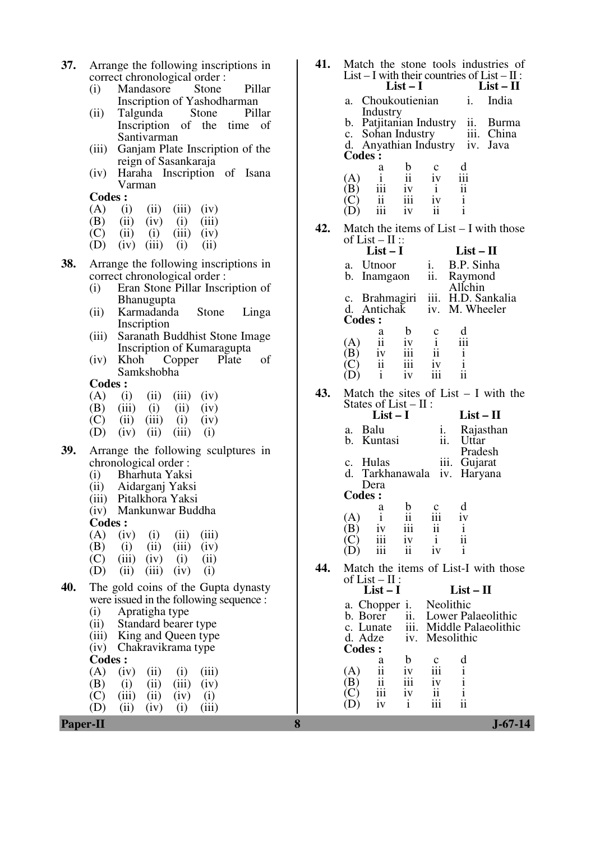- **37.** Arrange the following inscriptions in correct chronological order :<br>(i) Mandasore Stone
	- (i) Mandasore Stone Pillar Inscription of Yashodharman<br>Talgunda Stone Pillar
	- $(ii)$  Talgunda Inscription of the time of Santivarman
	- (iii) Ganjam Plate Inscription of the reign of Sasankaraja
	- (iv) Haraha Inscription of Isana Varman

**Codes :** 

- (A) (i) (ii) (iii) (iv) (B) (iii) (iv) (i) (iii)
- (B) (ii) (iv) (i) (iii) (C) (iii) (i) (iii) (iv)
- (C) (ii) (i) (iii) (iv) (D) (iv) (iii) (i) (ii)
- $(iii)$
- **38.** Arrange the following inscriptions in correct chronological order :
	- (i) Eran Stone Pillar Inscription of Bhanugupta
	- (ii) Karmadanda Stone Linga Inscription
	- (iii) Saranath Buddhist Stone Image
	- Inscription of Kumaragupta<br>Khoh Copper Plate (iv) Khoh Copper Plate of Samkshobha

**Codes :** 

- $(A)$  (i) (ii) (iii) (iv)
- (B) (iii) (i) (ii) (iv) (C) (iii) (iii) (iii) (i)
- (C) (ii) (iii) (i) (iv) (D) (iv) (ii) (iii) (ii)
- $(iv)$   $(ii)$   $(iii)$   $(i)$
- **39.** Arrange the following sculptures in chronological order :<br>(i) Bharhuta Yaksi
	- Bharhuta Yaksi
	- (ii) Aidarganj Yaksi
	- (iii) Pitalkhora Yaksi
	- (iv) Mankunwar Buddha

Codes .

| vvuvs . |  |                                   |                                                |
|---------|--|-----------------------------------|------------------------------------------------|
|         |  | $(A)$ $(iv)$ $(i)$ $(ii)$ $(iii)$ |                                                |
|         |  | (B) (i) (ii) (iii) (iv)           |                                                |
|         |  | $(C)$ (iii) (iv) (i) (ii)         |                                                |
|         |  | (D) (ii) (iii) (iv) (i)           |                                                |
|         |  |                                   | <b>40.</b> The gold coins of the Gupta dynasty |

- were issued in the following sequence : (i) Apratigha type
	- (ii) Standard bearer type
	- (iii) King and Queen type
	- (iv) Chakravikrama type
	- **Codes :**

 $(A)$  (iv) (ii) (i) (iii) (B) (i) (ii) (iii) (iv) (C) (iii) (ii) (iv) (i) (D) (iii) (iv) (i) (iii)  $(ii)$   $(iv)$   $(i)$   $(iii)$ 

| 41. | Match the stone tools industries of<br>List – I with their countries of List – $II$ :<br>$List - II$<br>$List-I$                                                                                                                                   |
|-----|----------------------------------------------------------------------------------------------------------------------------------------------------------------------------------------------------------------------------------------------------|
|     | Choukoutienian<br>India<br>1.<br>a.                                                                                                                                                                                                                |
|     | Industry<br>Patjitanian Industry ii. Burma<br>b.<br>iii. China<br>c. Sohan Industry<br>d. Anyathian Industry iv. Java<br>Codes:                                                                                                                    |
|     | d<br>b<br>а<br>$\mathbf c$<br>$\mathbf{i}$<br>(A)<br>11<br>1V<br>111<br>iii<br>$\overline{\mathbf{u}}$<br>(B)<br>iv<br>$\mathbf{i}$<br>$\rm iii$<br>(C)<br>$\mathbf{ii}$<br>$\mathbf{i}$<br>1V<br>$\mathbf{i}$<br>iii<br>$\mathbf{ii}$<br>iv<br>D) |
| 42. | Match the items of $List - I$ with those                                                                                                                                                                                                           |
|     | of List – $II$ ::<br>$List-I$<br>$List - II$                                                                                                                                                                                                       |
|     | i. B.P. Sinha<br>a. Utnoor<br>ii. Raymond<br>b.<br>Inamgaon<br>Allchin                                                                                                                                                                             |
|     | c. Brahmagiri iii. H.D. Sankalia<br>d. Antichak iv. M. Wheeler<br><b>Codes:</b>                                                                                                                                                                    |
|     | $\mathbf b$<br>d<br>a<br>c<br>$\mathbf{i}$<br>ii<br>iii<br>(A)<br>iv<br>iii<br>ii<br>iv<br>$\mathbf{i}$<br>(B)<br>$\mathbf{i}$<br>iii<br>(C)<br>ii.<br>iv<br>iii<br>ii<br>i<br>iv<br>(D)                                                           |
| 43. | Match the sites of List $- I$ with the                                                                                                                                                                                                             |
|     | States of List $-$ II :<br>$List-I$<br>$List-II$                                                                                                                                                                                                   |
|     | a. Balu<br>Rajasthan<br>1.<br>b. Kuntasi<br>ii.<br>Uttar<br>Pradesh                                                                                                                                                                                |
|     | iii.<br>c. Hulas<br>Gujarat<br>d.<br>Tarkhanawala<br>iv.<br>Haryana<br>Dera                                                                                                                                                                        |
|     | <b>Codes:</b>                                                                                                                                                                                                                                      |
|     | b<br>d<br>$\mathbf c$<br>a<br>iii<br>ii<br>i<br>(A<br>iii<br>(B)<br>$\overline{\mathbf{u}}$<br>1V<br>$\mathbf{1}$                                                                                                                                  |
|     | ii<br>iv<br>j.<br>111<br>$\mathbf{i}$<br>iii<br>ii<br>iv                                                                                                                                                                                           |
| 44. | Match the items of List-I with those                                                                                                                                                                                                               |

|                        | of List $-$ II :<br>$List-I$ |     |                         |            | $List-II$                                                             |
|------------------------|------------------------------|-----|-------------------------|------------|-----------------------------------------------------------------------|
|                        |                              |     | a. Chopper i. Neolithic |            | b. Borer ii. Lower Palaeolithic<br>c. Lunate iii. Middle Palaeolithic |
| d. Adze iv.<br>Codes : |                              |     |                         | Mesolithic |                                                                       |
|                        | а                            | 1 V | с<br>iii                |            |                                                                       |
|                        |                              | iii |                         |            |                                                                       |
|                        |                              |     |                         |            |                                                                       |

**Paper-II 8 J-67-14**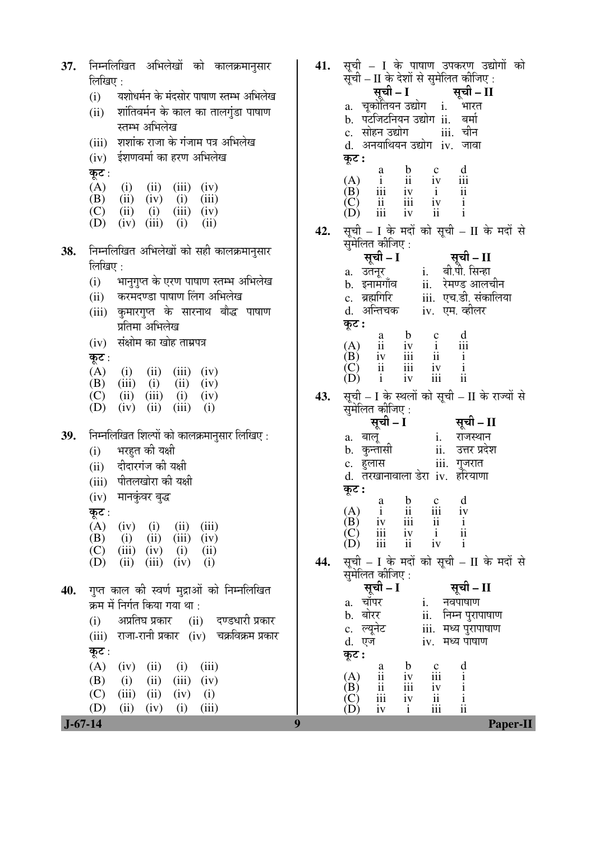| 37.              | निम्नलिखित अभिलेखों को कालक्रमानुसार<br>लिखिए :<br>यशोधर्मन के मंदसोर पाषाण स्तम्भ अभिलेख<br>(i)<br>(ii) शांतिवर्मन के काल का तालगुंडा पाषाण<br>स्तम्भ अभिलेख<br>(iii) शशांक राजा के गंजाम पत्र अभिलेख<br>(iv) ईशणवर्मा का हरण अभिलेख<br>कूट :<br>(A)<br>(i)<br>(ii)<br>(iii)<br>(iv)<br>(B) (ii) (iv) (i)<br>(iii)<br>(C)<br>$(ii)$ $(i)$<br>$(iii)$ $(iv)$<br>(D)<br>(iv)<br>(iii)<br>(i)<br>(ii)      | 41.<br>42. | सूची – I के पाषाण उपकरण उद्योगों को<br>सूची - II के देशों से सुमेलित कीजिए:<br>े <b>सूची – I ँ सूची – II</b><br>a. चूकोतियन उद्योग् i. भारत<br>b. पटजिटनियन उद्योग ii. बर्मा<br>iii. चीन<br>c. सोहन उद्योग<br>d. अनयाथियन उद्योग iv. जावा<br>कूट :<br>$\frac{d}{ii}$<br>$\frac{d}{ii}$<br>$\begin{tabular}{lllllllllll} a & b & c & d \\ i & ii & iv & iii \\ iii & iv & i & ii \\ ii & iii & iv & i \\ iii & iv & ii & i \end{tabular}$<br>$(A)$<br>$(B)$<br>(C)<br>(D)<br>सूची – I के मदों को सूची – II के मदों से                                                                                                                                                                                                                                                                   |
|------------------|----------------------------------------------------------------------------------------------------------------------------------------------------------------------------------------------------------------------------------------------------------------------------------------------------------------------------------------------------------------------------------------------------------|------------|----------------------------------------------------------------------------------------------------------------------------------------------------------------------------------------------------------------------------------------------------------------------------------------------------------------------------------------------------------------------------------------------------------------------------------------------------------------------------------------------------------------------------------------------------------------------------------------------------------------------------------------------------------------------------------------------------------------------------------------------------------------------------------------|
| 38.              | निम्नलिखित अभिलेखों को सही कालक्रमानुसार<br>लिखिए :<br>(i)     भानुगुप्त के एरण पाषाण स्तम्भ अभिलेख<br>(ii) करमदण्डा पाषाण लिंग अभिलेख<br>(iii) कुमारगुप्त के सारनाथ बौद्ध पाषाण<br>प्रतिमा अभिलेख<br>(iv) संक्षोम का खोह ताम्रपत्र<br>कूट :<br>(A)<br>$(i)$ $(ii)$ $(iii)$ $(iv)$<br>$(iii)$ $(i)$<br>(ii)<br>(B)<br>(iv)<br>$(ii)$ $(iii)$ $(i)$<br>(C)<br>(iv)<br>(D)<br>(ii)<br>(iii)<br>(iv)<br>(i) | 43.        | सुमेलित कीजिए:<br>सूची - I<br>्सूची – II<br>a. उतनूर      i.    बा.पा. १५.२.<br>b. इनामगाँव      ii.   रेमण्ड आलचीन<br>^    ब्रह्मगिरि        iii.  एच.डी. संकालिया<br>d. अन्तिचक iv. एम. व्हीलर<br>कूट :<br>(A) ii iv i iii<br>(B) iv ii ii ii<br>(C) ii iii iv i<br>(D) i iv iii ii<br>सूची – I के स्थलों को सूची – II के राज्यों से<br>सुमेलित कोजिए :<br>सूची – I सूची – II                                                                                                                                                                                                                                                                                                                                                                                                        |
| 39.              | निम्नलिखित शिल्पों को कालक्रमानुसार लिखिए :<br>भरहुत की यक्षी<br>(i)<br>(ii) दीदारगंज की यक्षी<br>(iii) पीतलखोरा की यक्षी<br>(iv) मानकुंवर बुद्ध<br>कूट :<br>(A)<br>(ii)<br>(iii)<br>$(iv)$ (i)<br>$(ii)$ $(iii)$<br>(B)<br>(iv)<br>(i)<br>(C)<br>$(iii)$ $(iv)$<br>(i)<br>(ii)<br>(iv)<br>(D)<br>(iii)<br>(i)<br>(ii)                                                                                   | 44.        | iii. गुजरात<br>c. हुलास<br>d. तरखानावाला डेरा iv. हरियाणा<br>कूट :<br>$\begin{matrix} a & b & c & d \\ i & ii & iii & iv \end{matrix}$<br>$\begin{pmatrix} A \\ B \end{pmatrix}$<br>$\begin{array}{ccc}\n & & \text{if } & \text{if } & \text{if } & \text{if } & \text{if } & \text{if } & \text{if } & \text{if } & \text{if } & \text{if } & \text{if } & \text{if } & \text{if } & \text{if } & \text{if } & \text{if } & \text{if } & \text{if } & \text{if } & \text{if } & \text{if } & \text{if } & \text{if } & \text{if } & \text{if } & \text{if } & \text{if } & \text{if } & \text{if } & \text{if } & \text{if } & \text{if } & \text{if } & \text{if } & \text{if } &$<br>iv<br>iii<br>(C)<br>(D)<br>iii<br>सूची - I के मदों को सूची - II के मदों से<br>सुमेलित कीजिए : |
| 40.<br>$J-67-14$ | गुप्त काल की स्वर्ण मुद्राओं को निम्नलिखित<br>क्रम में निर्गत किया गया था :<br>अप्रतिघ प्रकार (ii) दण्डधारी प्रकार<br>(i)<br>(iii) राजा-रानी प्रकार (iv) चक्रविक्रम प्रकार<br>कूट :<br>(A)<br>(ii)<br>(iii)<br>(iv)<br>(i)<br>(B)<br>(ii)<br>(iii)<br>(iv)<br>(i)<br>(C)<br>(iii)<br>(ii)<br>(iv)<br>(i)<br>(D)<br>(ii)<br>(iv)<br>(i)<br>(iii)<br>9                                                     |            | सूची – I<br>सूची – II<br>a. चॉपर<br>i. नवपाषाण<br>ii. निम्न पुरापाषाण<br>b. बोरर<br>iii. मध्य पुरापाषाण<br>c. ल्यूनेट<br>d. एज<br>iv. मध्य पाषाण<br>कूट :<br>$\begin{array}{c} d \\ i \\ i \\ ii \\ ii \end{array}$<br>$\frac{b}{iv}$<br>$\frac{c}{111}$<br>$\frac{a}{11}$<br>(A)<br>ii<br>iii<br>(B)<br>iv<br>iii<br>$\overline{\mathbf{u}}$<br>$\left(\underline{C}\right)$<br>iv<br>(D)<br>$\mathbf{i}$<br>iii<br>iv<br><b>Paper-II</b>                                                                                                                                                                                                                                                                                                                                             |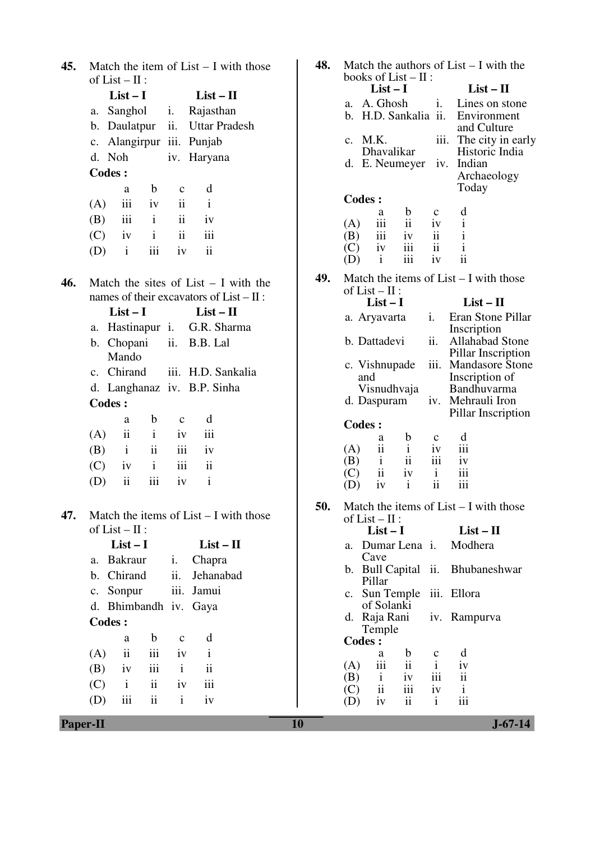| 45. |               | of $List - II$ :    |                         |                 | Match the item of $List - I$ with those    |  |
|-----|---------------|---------------------|-------------------------|-----------------|--------------------------------------------|--|
|     |               | $List - I$          |                         |                 | $List - II$                                |  |
|     | а.            | Sanghol             |                         | i.              | Rajasthan                                  |  |
|     | b.            | Daulatpur           |                         |                 | ii. Uttar Pradesh                          |  |
|     | c.            | Alangirpur          |                         |                 | iii. Punjab                                |  |
|     | d.            | Noh                 |                         |                 | iv. Haryana                                |  |
|     | <b>Codes:</b> |                     |                         |                 |                                            |  |
|     |               | a                   | b                       | $\mathbf{C}$    | d                                          |  |
|     | (A)           |                     | iii iv                  | ii.             | $\mathbf{i}$                               |  |
|     | (B)           | iii                 | $\mathbf{i}$            | $\ddot{\rm ii}$ | iv                                         |  |
|     |               | $(C)$ iv i          |                         | $\mathbf{ii}$   | iii                                        |  |
|     | $(D)$ i       |                     | iii                     | iv              | $\mathbf{ii}$                              |  |
| 46. |               |                     |                         |                 | Match the sites of List $- I$ with the     |  |
|     |               |                     |                         |                 | names of their excavators of $List - II$ : |  |
|     |               | $List-I$            |                         |                 | $List - II$                                |  |
|     | а.            |                     |                         |                 | Hastinapur i. G.R. Sharma                  |  |
|     | b.            | Chopani<br>Mando    |                         |                 | ii. B.B. Lal                               |  |
|     |               | c. Chirand          |                         |                 | iii. H.D. Sankalia                         |  |
|     | d.            |                     |                         |                 | Langhanaz iv. B.P. Sinha                   |  |
|     | <b>Codes:</b> |                     |                         |                 |                                            |  |
|     |               | a                   | b.                      | $\mathbf{c}$    | d                                          |  |
|     | (A)           | ii                  | $\mathbf{i}$            | iv              | iii                                        |  |
|     | (B)           | $\mathbf{i}$        | $\overline{\mathbf{u}}$ | iii             | iv                                         |  |
|     |               | $(C)$ iv            | $\mathbf{i}$            | iii             | ii                                         |  |
|     | (D)           | $\mathbf{ii}$       | iii                     | iv              | i                                          |  |
| 47. |               |                     |                         |                 | Match the items of $List - I$ with those   |  |
|     |               | of $List - II$ :    |                         |                 |                                            |  |
|     |               | $List-I$            |                         |                 | $List - II$                                |  |
|     | a.            | Bakraur             |                         | i.              | Chapra                                     |  |
|     |               | b. Chirand          |                         | ii.             | Jehanabad                                  |  |
|     |               | c. Sonpur           |                         | iii.            | Jamui                                      |  |
|     |               |                     |                         |                 | d. Bhimbandh iv. Gaya                      |  |
|     | <b>Codes:</b> |                     |                         |                 |                                            |  |
|     |               | a                   | $\mathbf b$             | $\mathbf c$     | d                                          |  |
|     | (A)           | $\ddot{\mathbf{i}}$ | iii                     | iv              | $\mathbf{i}$                               |  |
|     | (B)           | iv                  | iii                     | $\mathbf{i}$    | $\ddot{\mathbf{i}}$                        |  |
|     | (C)           | $\mathbf{i}$        | ii                      | iv              | iii                                        |  |
|     | (D)           | iii                 | ii                      | i               | iv                                         |  |

| 45.      | Match the item of $List - I$ with those<br>of $List - II$ :                                                                                                                                                                                                                                                                                                                                                                                                                                                  | 48. | Match the authors of $List - I$ with the<br>books of $List - II$ :                                                                                                                                                                                                                                                                                                                                                                                                                                                                                                                                                                                    |
|----------|--------------------------------------------------------------------------------------------------------------------------------------------------------------------------------------------------------------------------------------------------------------------------------------------------------------------------------------------------------------------------------------------------------------------------------------------------------------------------------------------------------------|-----|-------------------------------------------------------------------------------------------------------------------------------------------------------------------------------------------------------------------------------------------------------------------------------------------------------------------------------------------------------------------------------------------------------------------------------------------------------------------------------------------------------------------------------------------------------------------------------------------------------------------------------------------------------|
|          | $List-I$<br>$List - II$<br>a. Sanghol<br>Rajasthan<br>$\mathbf{i}$ .<br>ii.<br><b>Uttar Pradesh</b><br>b. Daulatpur<br>c. Alangirpur iii. Punjab<br>d. Noh<br>iv. Haryana<br><b>Codes:</b><br>$\mathbf b$<br>d<br>$\mathbf c$<br>a                                                                                                                                                                                                                                                                           |     | $List-I$<br>$List - II$<br>a. A. Ghosh<br>i.<br>Lines on stone<br>b. H.D. Sankalia ii.<br>Environment<br>and Culture<br>iii.<br>c. M.K.<br>The city in early<br>Dhavalikar<br>Historic India<br>d. E. Neumeyer<br>iv. Indian<br>Archaeology<br>Today                                                                                                                                                                                                                                                                                                                                                                                                  |
|          | iii<br>$\mathbf{i}$<br>(A)<br>$\overline{\mathbf{u}}$<br>iv<br>iii<br>ii<br>$\mathbf{i}$<br>(B)<br>iv<br>ii<br>iii<br>$\mathbf{i}$<br>(C)<br>iv<br>$\ddot{\rm n}$<br>iii<br>$\mathbf{i}$<br>(D)<br>iv                                                                                                                                                                                                                                                                                                        |     | <b>Codes:</b><br>d<br>$\mathbf b$<br>$\mathbf c$<br>a<br>ii<br>$\mathbf{i}$<br>(A)<br>iv<br>111<br>$\mathbf{i}$<br>$\mathbf{ii}$<br>iii<br>(B)<br>iv<br>ii<br>$\mathbf{i}$<br>iii<br>(C)<br>iv<br>ii<br>iii<br>iv<br>(D)<br>$\mathbf{i}$                                                                                                                                                                                                                                                                                                                                                                                                              |
| 46.      | Match the sites of List $-$ I with the<br>names of their excavators of $List - II$ :<br>$List-I$<br>$List - II$<br>G.R. Sharma<br>a. Hastinapur i.<br>ii.<br>b. Chopani<br>B.B. Lal<br>Mando<br>c. Chirand<br>iii. H.D. Sankalia<br>d. Langhanaz iv. B.P. Sinha<br><b>Codes:</b><br>$\mathbf b$<br>d<br>$\mathbf c$<br>a<br>ii<br>iii<br>(A)<br>$\mathbf{i}$<br>iv<br>ii<br>$\mathbf{i}$<br>iii<br>(B)<br>iv<br>$\ddot{\rm n}$<br>$\mathbf{i}$<br>iii<br>(C)<br>iv<br>iii<br>ii<br>$\mathbf{i}$<br>(D)<br>iv | 49. | Match the items of $List - I$ with those<br>of $List - II$ :<br>$List - II$<br>$List-I$<br>Eran Stone Pillar<br>a. Aryavarta<br>i.<br>Inscription<br>ii.<br>b. Dattadevi<br>Allahabad Stone<br>Pillar Inscription<br><b>Mandasore Stone</b><br>c. Vishnupade<br>$\overline{111}$ .<br>Inscription of<br>and<br>Visnudhvaja<br>Bandhuvarma<br>iv. Mehrauli Iron<br>d. Daspuram<br>Pillar Inscription<br><b>Codes:</b><br>d<br>$\mathbf b$<br>$\mathbf c$<br>a<br>ii<br>$\mathbf{i}$<br>iii<br>(A)<br>iv<br>$\rm ii$<br>iii<br>$\mathbf{i}$<br>(B)<br>iv<br>ii<br>iii<br>$\mathbf{i}$<br>(C)<br>iv<br>$\mathbf{ii}$<br>iii<br>$\mathbf{i}$<br>(D)<br>iv |
| 47.      | Match the items of $List - I$ with those<br>of $List - II$ :<br>$List-I$<br>$List - II$<br>Bakraur<br>Chapra<br>i.<br>a.<br>ii.<br>b. Chirand<br>Jehanabad<br>Sonpur<br>iii. Jamui<br>c.<br>d. Bhimbandh iv. Gaya<br><b>Codes:</b><br>$\mathbf b$<br>d<br>$\mathbf c$<br>a<br>iii<br>ii<br>(A)<br>iv<br>$\bf{1}$<br>iii<br>$\overline{\mathbf{ii}}$<br>(B)<br>$\mathbf{i}$<br>iv<br>ii<br>$\mathbf{i}$<br>iii<br>(C)<br>iv<br>ii<br>iii<br>(D)<br>$\mathbf{i}$<br>iv                                         | 50. | Match the items of $List - I$ with those<br>of $List - II$ :<br>$List - II$<br>$List-I$<br>Modhera<br>a. Dumar Lena i.<br>Cave<br>b. Bull Capital ii. Bhubaneshwar<br>Pillar<br>c. Sun Temple<br>iii. Ellora<br>of Solanki<br>d. Raja Rani<br>iv. Rampurva<br>Temple<br><b>Codes:</b><br>$\mathbf b$<br>d<br>a<br>c<br>ii<br>$\mathbf{i}$<br>iii<br>iv<br>(A)<br>iii<br>$\mathbf{ii}$<br>(B)<br>iv<br>$\mathbf{i}$<br>$\overline{\mathbf{ii}}$<br>iii<br>(C)<br>iv<br>$\mathbf{i}$<br>iii<br>ii<br>$\mathbf{i}$<br>(D)<br>iv                                                                                                                          |
| Paper-II |                                                                                                                                                                                                                                                                                                                                                                                                                                                                                                              | 10  | $J - 67 - 14$                                                                                                                                                                                                                                                                                                                                                                                                                                                                                                                                                                                                                                         |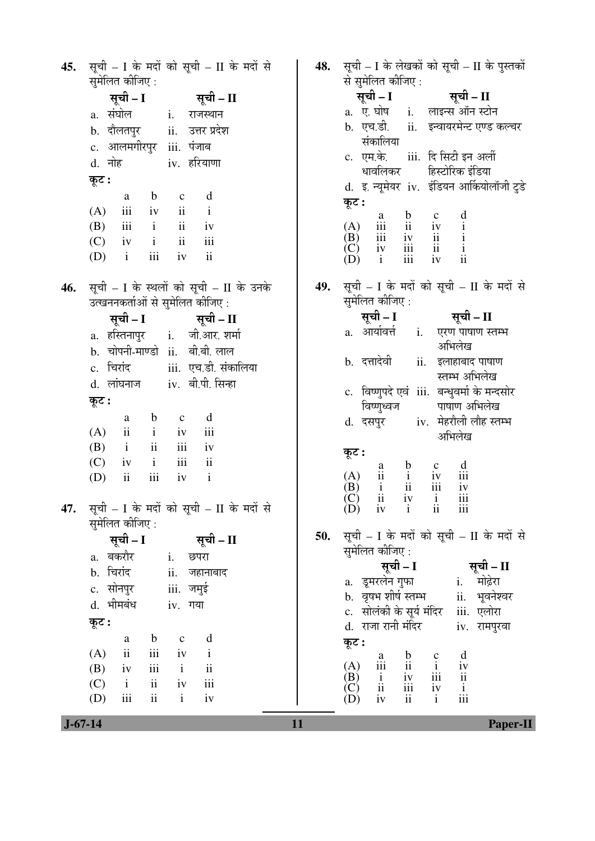सूची - I के मदों को सूची - II के मदों से सूची - I के लेखकों को सूची - II के पुस्तकों 45. 48. सुमेलित कीजिए : से सुमेलित कीजिए : सची – I सूची – I सूची – II सर्ची – II a. ए. घोष  $\mathbf{i}$ . लाइन्स ऑन स्टोन a. संघोल  $\mathbf{i}$ . राजस्थान ii. इन्वायरमेन्ट एण्ड कल्चर b. एच.डी. उत्तर प्रदेश b. दौलतपुर  $ii.$ संकालिया c. आलमगीरपुर iii. पंजाब iii. दि सिटी इन अर्ली c. एम.के. d. नोह iv. हरियाणा हिस्टोरिक इंडिया धावलिकर कूट : d. इ. न्यूमेयर iv. इंडियन आर्कियोलॉजी टुडे  $\mathbf b$  $\mathbf{c}$ d a कुट :  $(A)$ iii iv  $\mathbf{ii}$  $\mathbf{i}$  $\frac{c}{iv}$  $\frac{a}{111}$  $\mathbf b$  $\mathbf d$  $(A)$ (B)  $\mathbf{ii}$ iii  $\mathbf{i}$  $iv$  $\mathbf{ii}$  $\mathbf{i}$  $\mathbf{i}$ (B) iii  $iv$  $\overline{\mathbf{u}}$  $\mathbf{i}$  $(C)$  $iv$  $\mathbf{ii}$ iii  $(C)$ iv iii  $\overline{\mathbf{u}}$  $\mathbf{i}$  $(D)$  $\mathbf{i}$ iii iv  $\ddot{\rm ii}$  $\overrightarrow{D}$  $\mathbf{i}$  $iv$  $\mathbf{ii}$ iii सूची - I के मदों को सूची - II के मदों से सूची - I के स्थलों को सूची - II के उनके 49. 46. समेलित कीजिए : उत्खननकर्ताओं से सुमेलित कीजिए : सूची – II सूची – I सूची – I सूची – II a. आर्यावर्त्त i. एरण पाषाण स्तम्भ a. हस्तिनापुर जी आर. शर्मा  $\mathbf{i}$ . अभिलेख b. चोपनी-माण्डो ii. बी.बी.लाल b. दत्तादेवी ii. इलाहाबाद पाषाण c. चिरांद iii. एच.डी. संकालिया स्तम्भ अभिलेख iv. बी.पी. सिन्हा d. लांघनाज c. विष्णुपदे एवं iii. बन्धुवर्मा के मन्दसोर कुट : विष्णुध्वज पाषाण अभिलेख  $\mathbf b$ d a  $\mathbf{c}$ iv. मेहरौली लौह स्तम्भ d. दसपूर  $(A)$  $\mathbf{i}$  $iv$ iii  $\mathbf{ii}$ अभिलेख (B)  $\mathbf{i}$  $\mathbf{ii}$ iii  $iv$ कूट :  $(C)$ iv  $\mathbf{i}$ iii  $\mathbf{ii}$  $\mathbf b$  $\mathbf{c}$ d a  $(A)$  $iv$ iii  $\mathbf{ii}$  $\mathbf{i}$ (D) iii iv  $\mathbf{i}$  $\mathbf{ii}$ (B)  $\mathbf{i}$  $\mathbf{ii}$ iii  $iv$ ίC)  $\mathbf{ii}$  $\mathbf{i}$ iii  $iv$ सूची - I के मदों को सूची - II के मदों से 47.  $(D)$  $\mathbf{ii}$ iv  $\mathbf{i}$ iii सुमेलित कीजिए : सूची - I के मदों को सूची - II के मदों से 50. सूची – I सूची – II सुमेलित कीजिए : a. बकरौर  $\mathbf{i}$ . छपरा सूची - I सूची – II b. चिरांद ii. जहानाबाद a. इमरलेन गुफा मोढ़ेरा i. c. सोनपुर iii. जमुई b. वृषभ शीर्ष स्तम्भ ii. भवनेश्वर d. भीमबंध iv. गया c. सोलंकी के सूर्य मंदिर iii. एलोरा कूट : d. राजा रानी मंदिर iv. रामपुरवा  $\rm d$  $\mathbf b$  $\mathbf c$  ${\bf a}$ कुट :  $(A)$  $iv$  $\mathbf{ii}$ iii  $\mathbf{i}$  $\begin{matrix} c \\ i \end{matrix}$ d  $\mathbf b$  $\mathbf{a}$  $(A)$ iv iii  $\overline{\mathbf{1}}$  $\mathbf{i}$  $(B)$  $\mathbf{ii}$  $iv$ iii (B) iii  $\mathbf{i}$  $iv$  $\overline{11}$  $(C)$  $\mathbf{i}$  $\mathbf{ii}$  $iv$ iii  $\overline{C}$  $\mathbf{ii}$ iii iv  $\mathbf{i}$  $\mathbf{i}$  $(D)$ (D) iii  $\mathbf{ii}$  $iv$ iv  $\mathbf{i}$ iii  $\overline{11}$ 

11

**Paper-II**